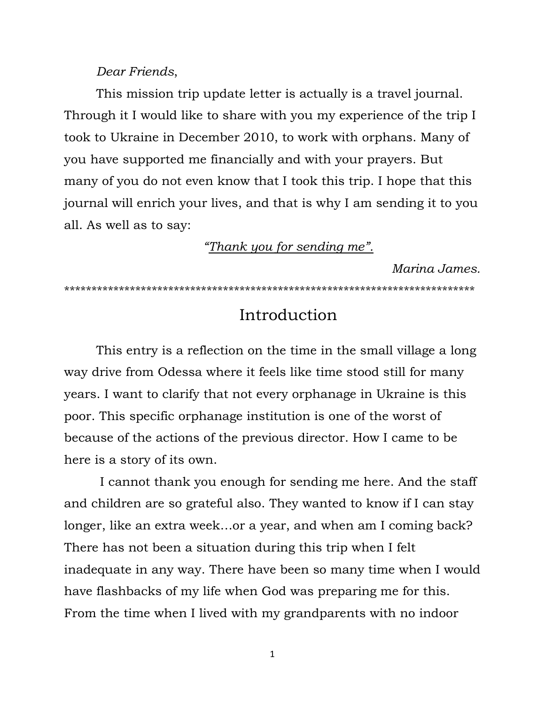### *Dear Friends*,

This mission trip update letter is actually is a travel journal. Through it I would like to share with you my experience of the trip I took to Ukraine in December 2010, to work with orphans. Many of you have supported me financially and with your prayers. But many of you do not even know that I took this trip. I hope that this journal will enrich your lives, and that is why I am sending it to you all. As well as to say:

*"Thank you for sending me".*

*Marina James.*

\*\*\*\*\*\*\*\*\*\*\*\*\*\*\*\*\*\*\*\*\*\*\*\*\*\*\*\*\*\*\*\*\*\*\*\*\*\*\*\*\*\*\*\*\*\*\*\*\*\*\*\*\*\*\*\*\*\*\*\*\*\*\*\*\*\*\*\*\*\*\*\*\*\*\*

# Introduction

This entry is a reflection on the time in the small village a long way drive from Odessa where it feels like time stood still for many years. I want to clarify that not every orphanage in Ukraine is this poor. This specific orphanage institution is one of the worst of because of the actions of the previous director. How I came to be here is a story of its own.

I cannot thank you enough for sending me here. And the staff and children are so grateful also. They wanted to know if I can stay longer, like an extra week…or a year, and when am I coming back? There has not been a situation during this trip when I felt inadequate in any way. There have been so many time when I would have flashbacks of my life when God was preparing me for this. From the time when I lived with my grandparents with no indoor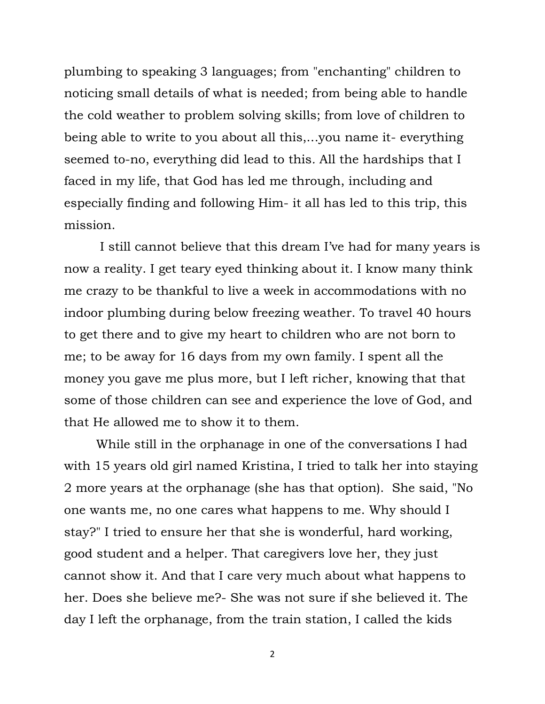plumbing to speaking 3 languages; from "enchanting" children to noticing small details of what is needed; from being able to handle the cold weather to problem solving skills; from love of children to being able to write to you about all this,...you name it- everything seemed to-no, everything did lead to this*.* All the hardships that I faced in my life, that God has led me through, including and especially finding and following Him- it all has led to this trip, this mission.

I still cannot believe that this dream I"ve had for many years is now a reality. I get teary eyed thinking about it. I know many think me crazy to be thankful to live a week in accommodations with no indoor plumbing during below freezing weather. To travel 40 hours to get there and to give my heart to children who are not born to me; to be away for 16 days from my own family. I spent all the money you gave me plus more, but I left richer, knowing that that some of those children can see and experience the love of God, and that He allowed me to show it to them.

While still in the orphanage in one of the conversations I had with 15 years old girl named Kristina, I tried to talk her into staying 2 more years at the orphanage (she has that option). She said, "No one wants me, no one cares what happens to me. Why should I stay?" I tried to ensure her that she is wonderful, hard working, good student and a helper. That caregivers love her, they just cannot show it. And that I care very much about what happens to her. Does she believe me?- She was not sure if she believed it. The day I left the orphanage, from the train station, I called the kids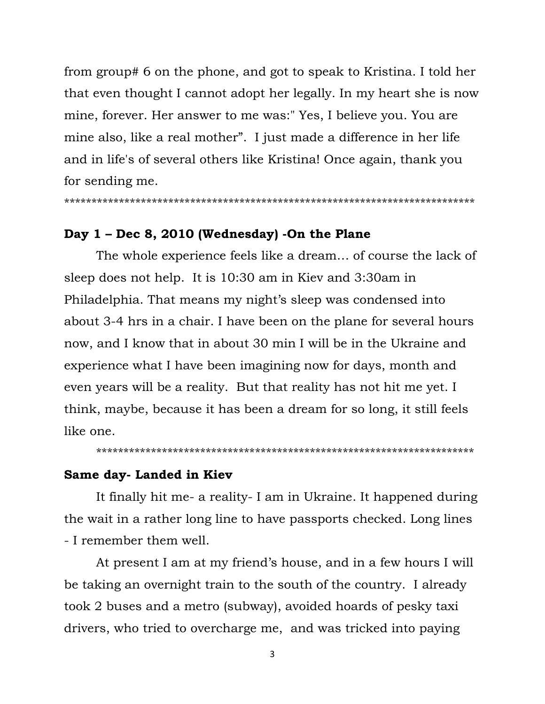from group# 6 on the phone, and got to speak to Kristina. I told her that even thought I cannot adopt her legally. In my heart she is now mine, forever. Her answer to me was:" Yes, I believe you. You are mine also, like a real mother". I just made a difference in her life and in life's of several others like Kristina! Once again, thank you for sending me.

\*\*\*\*\*\*\*\*\*\*\*\*\*\*\*\*\*\*\*\*\*\*\*\*\*\*\*\*\*\*\*\*\*\*\*\*\*\*\*\*\*\*\*\*\*\*\*\*\*\*\*\*\*\*\*\*\*\*\*\*\*\*\*\*\*\*\*\*\*\*\*\*\*\*\*

### **Day 1 – Dec 8, 2010 (Wednesday) -On the Plane**

The whole experience feels like a dream… of course the lack of sleep does not help. It is 10:30 am in Kiev and 3:30am in Philadelphia. That means my night's sleep was condensed into about 3-4 hrs in a chair. I have been on the plane for several hours now, and I know that in about 30 min I will be in the Ukraine and experience what I have been imagining now for days, month and even years will be a reality. But that reality has not hit me yet. I think, maybe, because it has been a dream for so long, it still feels like one.

\*\*\*\*\*\*\*\*\*\*\*\*\*\*\*\*\*\*\*\*\*\*\*\*\*\*\*\*\*\*\*\*\*\*\*\*\*\*\*\*\*\*\*\*\*\*\*\*\*\*\*\*\*\*\*\*\*\*\*\*\*\*\*\*\*\*\*\*\*

### **Same day- Landed in Kiev**

It finally hit me- a reality- I am in Ukraine. It happened during the wait in a rather long line to have passports checked. Long lines - I remember them well.

At present I am at my friend's house, and in a few hours I will be taking an overnight train to the south of the country. I already took 2 buses and a metro (subway), avoided hoards of pesky taxi drivers, who tried to overcharge me, and was tricked into paying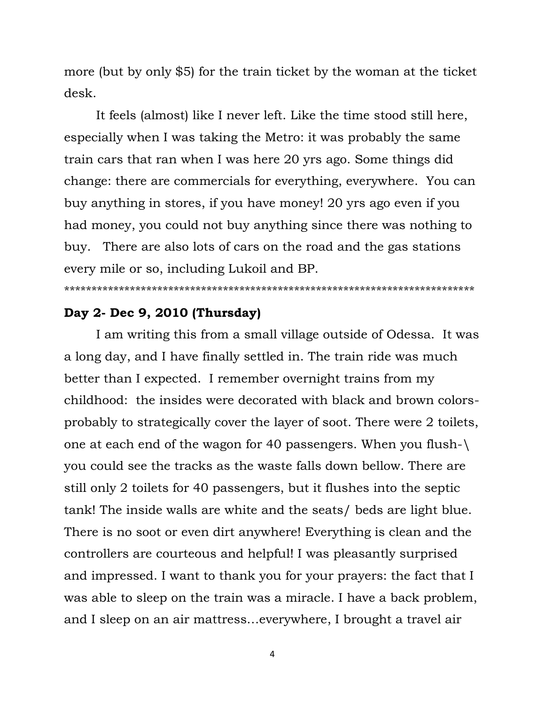more (but by only \$5) for the train ticket by the woman at the ticket desk.

It feels (almost) like I never left. Like the time stood still here, especially when I was taking the Metro: it was probably the same train cars that ran when I was here 20 yrs ago. Some things did change: there are commercials for everything, everywhere. You can buy anything in stores, if you have money! 20 yrs ago even if you had money, you could not buy anything since there was nothing to buy. There are also lots of cars on the road and the gas stations every mile or so, including Lukoil and BP.

#### \*\*\*\*\*\*\*\*\*\*\*\*\*\*\*\*\*\*\*\*\*\*\*\*\*\*\*\*\*\*\*\*\*\*\*\*\*\*\*\*\*\*\*\*\*\*\*\*\*\*\*\*\*\*\*\*\*\*\*\*\*\*\*\*\*\*\*\*\*\*\*\*\*\*\*

# **Day 2- Dec 9, 2010 (Thursday)**

I am writing this from a small village outside of Odessa. It was a long day, and I have finally settled in. The train ride was much better than I expected. I remember overnight trains from my childhood: the insides were decorated with black and brown colorsprobably to strategically cover the layer of soot. There were 2 toilets, one at each end of the wagon for 40 passengers. When you flush-\ you could see the tracks as the waste falls down bellow. There are still only 2 toilets for 40 passengers, but it flushes into the septic tank! The inside walls are white and the seats/ beds are light blue. There is no soot or even dirt anywhere! Everything is clean and the controllers are courteous and helpful! I was pleasantly surprised and impressed. I want to thank you for your prayers: the fact that I was able to sleep on the train was a miracle. I have a back problem, and I sleep on an air mattress…everywhere, I brought a travel air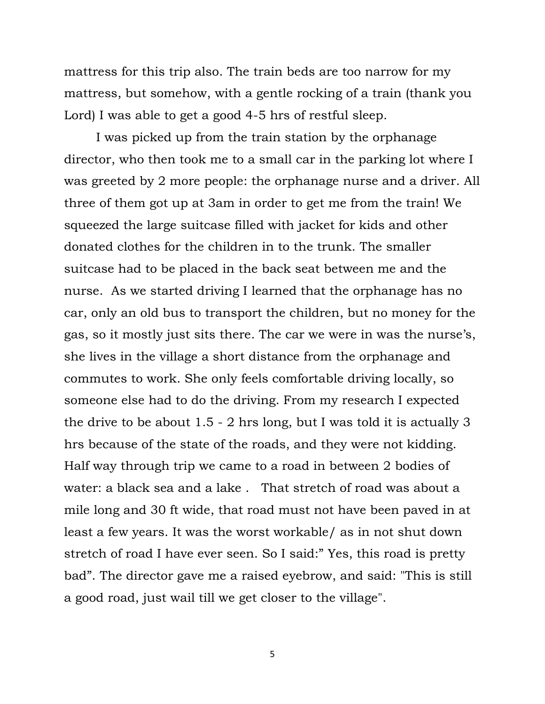mattress for this trip also. The train beds are too narrow for my mattress, but somehow, with a gentle rocking of a train (thank you Lord) I was able to get a good 4-5 hrs of restful sleep.

I was picked up from the train station by the orphanage director, who then took me to a small car in the parking lot where I was greeted by 2 more people: the orphanage nurse and a driver. All three of them got up at 3am in order to get me from the train! We squeezed the large suitcase filled with jacket for kids and other donated clothes for the children in to the trunk. The smaller suitcase had to be placed in the back seat between me and the nurse. As we started driving I learned that the orphanage has no car, only an old bus to transport the children, but no money for the gas, so it mostly just sits there. The car we were in was the nurse's, she lives in the village a short distance from the orphanage and commutes to work. She only feels comfortable driving locally, so someone else had to do the driving. From my research I expected the drive to be about 1.5 - 2 hrs long, but I was told it is actually 3 hrs because of the state of the roads, and they were not kidding. Half way through trip we came to a road in between 2 bodies of water: a black sea and a lake . That stretch of road was about a mile long and 30 ft wide, that road must not have been paved in at least a few years. It was the worst workable/ as in not shut down stretch of road I have ever seen. So I said:" Yes, this road is pretty bad". The director gave me a raised eyebrow, and said: "This is still a good road, just wail till we get closer to the village".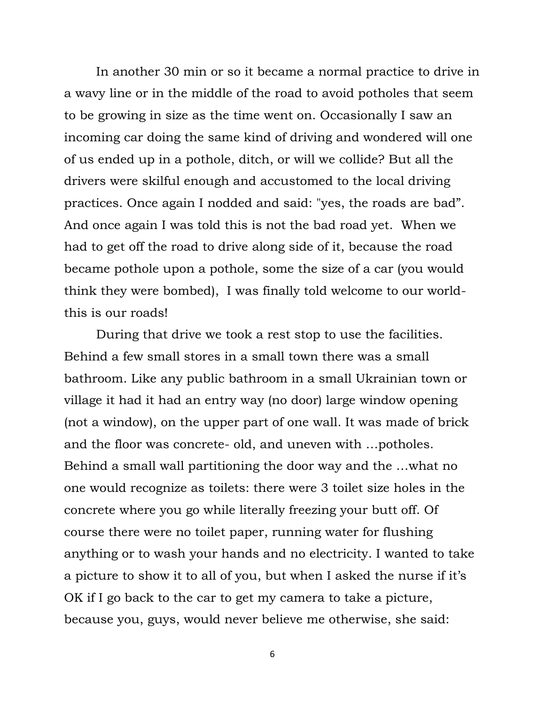In another 30 min or so it became a normal practice to drive in a wavy line or in the middle of the road to avoid potholes that seem to be growing in size as the time went on. Occasionally I saw an incoming car doing the same kind of driving and wondered will one of us ended up in a pothole, ditch, or will we collide? But all the drivers were skilful enough and accustomed to the local driving practices. Once again I nodded and said: "yes, the roads are bad". And once again I was told this is not the bad road yet. When we had to get off the road to drive along side of it, because the road became pothole upon a pothole, some the size of a car (you would think they were bombed), I was finally told welcome to our worldthis is our roads!

During that drive we took a rest stop to use the facilities. Behind a few small stores in a small town there was a small bathroom. Like any public bathroom in a small Ukrainian town or village it had it had an entry way (no door) large window opening (not a window), on the upper part of one wall. It was made of brick and the floor was concrete- old, and uneven with …potholes. Behind a small wall partitioning the door way and the …what no one would recognize as toilets: there were 3 toilet size holes in the concrete where you go while literally freezing your butt off. Of course there were no toilet paper, running water for flushing anything or to wash your hands and no electricity. I wanted to take a picture to show it to all of you, but when I asked the nurse if it's OK if I go back to the car to get my camera to take a picture, because you, guys, would never believe me otherwise, she said: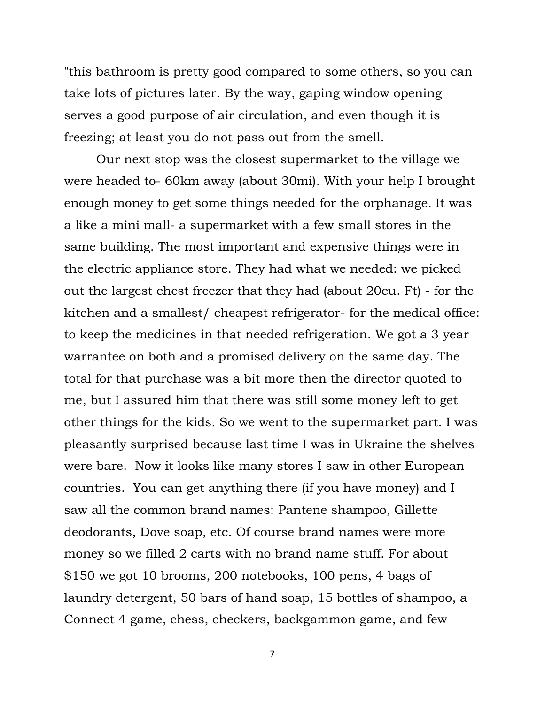"this bathroom is pretty good compared to some others, so you can take lots of pictures later. By the way, gaping window opening serves a good purpose of air circulation, and even though it is freezing; at least you do not pass out from the smell.

Our next stop was the closest supermarket to the village we were headed to- 60km away (about 30mi). With your help I brought enough money to get some things needed for the orphanage. It was a like a mini mall- a supermarket with a few small stores in the same building. The most important and expensive things were in the electric appliance store. They had what we needed: we picked out the largest chest freezer that they had (about 20cu. Ft) - for the kitchen and a smallest/ cheapest refrigerator- for the medical office: to keep the medicines in that needed refrigeration. We got a 3 year warrantee on both and a promised delivery on the same day. The total for that purchase was a bit more then the director quoted to me, but I assured him that there was still some money left to get other things for the kids. So we went to the supermarket part. I was pleasantly surprised because last time I was in Ukraine the shelves were bare. Now it looks like many stores I saw in other European countries. You can get anything there (if you have money) and I saw all the common brand names: Pantene shampoo, Gillette deodorants, Dove soap, etc. Of course brand names were more money so we filled 2 carts with no brand name stuff. For about \$150 we got 10 brooms, 200 notebooks, 100 pens, 4 bags of laundry detergent, 50 bars of hand soap, 15 bottles of shampoo, a Connect 4 game, chess, checkers, backgammon game, and few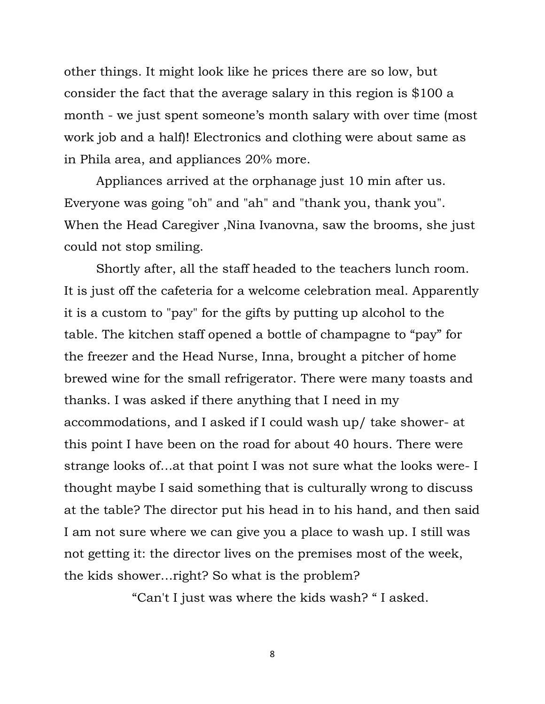other things. It might look like he prices there are so low, but consider the fact that the average salary in this region is \$100 a month - we just spent someone's month salary with over time (most work job and a half)! Electronics and clothing were about same as in Phila area, and appliances 20% more.

Appliances arrived at the orphanage just 10 min after us. Everyone was going "oh" and "ah" and "thank you, thank you". When the Head Caregiver ,Nina Ivanovna, saw the brooms, she just could not stop smiling.

Shortly after, all the staff headed to the teachers lunch room. It is just off the cafeteria for a welcome celebration meal. Apparently it is a custom to "pay" for the gifts by putting up alcohol to the table. The kitchen staff opened a bottle of champagne to "pay" for the freezer and the Head Nurse, Inna, brought a pitcher of home brewed wine for the small refrigerator. There were many toasts and thanks. I was asked if there anything that I need in my accommodations, and I asked if I could wash up/ take shower- at this point I have been on the road for about 40 hours. There were strange looks of…at that point I was not sure what the looks were- I thought maybe I said something that is culturally wrong to discuss at the table? The director put his head in to his hand, and then said I am not sure where we can give you a place to wash up. I still was not getting it: the director lives on the premises most of the week, the kids shower…right? So what is the problem?

"Can't I just was where the kids wash? " I asked.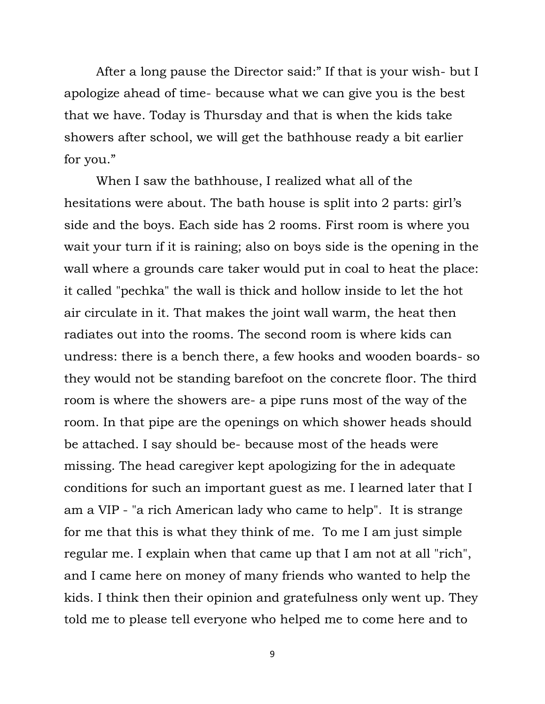After a long pause the Director said:" If that is your wish- but I apologize ahead of time- because what we can give you is the best that we have. Today is Thursday and that is when the kids take showers after school, we will get the bathhouse ready a bit earlier for you."

When I saw the bathhouse, I realized what all of the hesitations were about. The bath house is split into 2 parts: girl's side and the boys. Each side has 2 rooms. First room is where you wait your turn if it is raining; also on boys side is the opening in the wall where a grounds care taker would put in coal to heat the place: it called "pechka" the wall is thick and hollow inside to let the hot air circulate in it. That makes the joint wall warm, the heat then radiates out into the rooms. The second room is where kids can undress: there is a bench there, a few hooks and wooden boards- so they would not be standing barefoot on the concrete floor. The third room is where the showers are- a pipe runs most of the way of the room. In that pipe are the openings on which shower heads should be attached. I say should be- because most of the heads were missing. The head caregiver kept apologizing for the in adequate conditions for such an important guest as me. I learned later that I am a VIP - "a rich American lady who came to help". It is strange for me that this is what they think of me. To me I am just simple regular me. I explain when that came up that I am not at all "rich", and I came here on money of many friends who wanted to help the kids. I think then their opinion and gratefulness only went up. They told me to please tell everyone who helped me to come here and to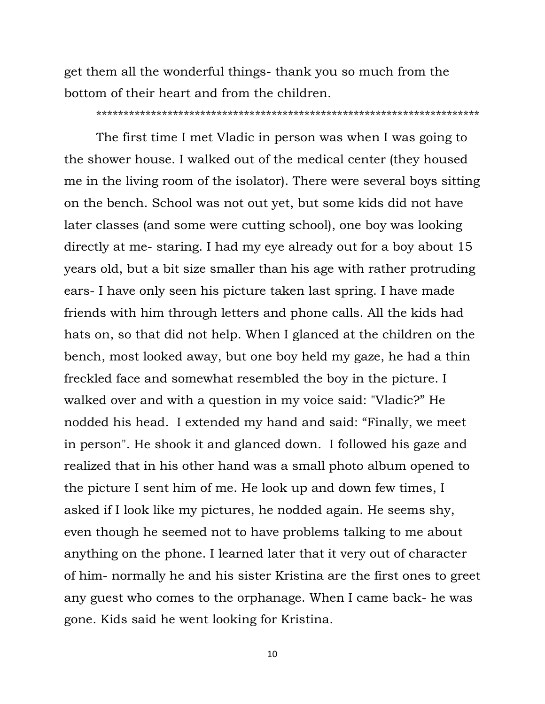get them all the wonderful things- thank you so much from the bottom of their heart and from the children.

#### \*\*\*\*\*\*\*\*\*\*\*\*\*\*\*\*\*\*\*\*\*\*\*\*\*\*\*\*\*\*\*\*\*\*\*\*\*\*\*\*\*\*\*\*\*\*\*\*\*\*\*\*\*\*\*\*\*\*\*\*\*\*\*\*\*\*\*\*\*\*

The first time I met Vladic in person was when I was going to the shower house. I walked out of the medical center (they housed me in the living room of the isolator). There were several boys sitting on the bench. School was not out yet, but some kids did not have later classes (and some were cutting school), one boy was looking directly at me- staring. I had my eye already out for a boy about 15 years old, but a bit size smaller than his age with rather protruding ears- I have only seen his picture taken last spring. I have made friends with him through letters and phone calls. All the kids had hats on, so that did not help. When I glanced at the children on the bench, most looked away, but one boy held my gaze, he had a thin freckled face and somewhat resembled the boy in the picture. I walked over and with a question in my voice said: "Vladic?" He nodded his head. I extended my hand and said: "Finally, we meet in person". He shook it and glanced down. I followed his gaze and realized that in his other hand was a small photo album opened to the picture I sent him of me. He look up and down few times, I asked if I look like my pictures, he nodded again. He seems shy, even though he seemed not to have problems talking to me about anything on the phone. I learned later that it very out of character of him- normally he and his sister Kristina are the first ones to greet any guest who comes to the orphanage. When I came back- he was gone. Kids said he went looking for Kristina.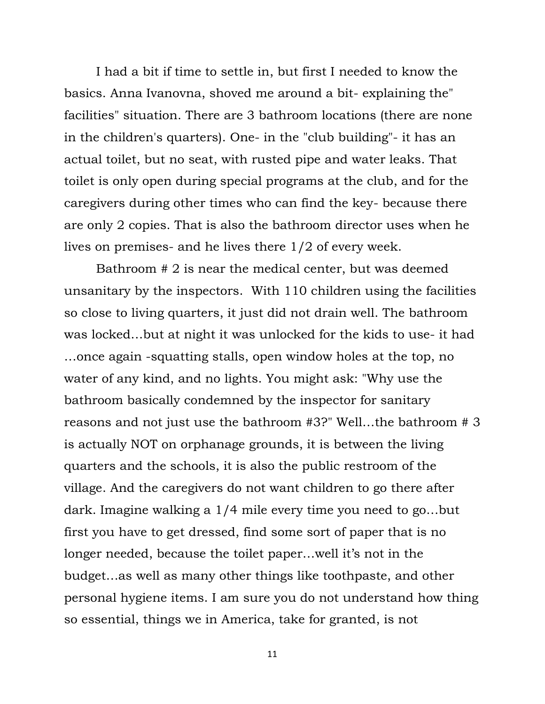I had a bit if time to settle in, but first I needed to know the basics. Anna Ivanovna, shoved me around a bit- explaining the" facilities" situation. There are 3 bathroom locations (there are none in the children's quarters). One- in the "club building"- it has an actual toilet, but no seat, with rusted pipe and water leaks. That toilet is only open during special programs at the club, and for the caregivers during other times who can find the key- because there are only 2 copies. That is also the bathroom director uses when he lives on premises- and he lives there 1/2 of every week.

Bathroom # 2 is near the medical center, but was deemed unsanitary by the inspectors. With 110 children using the facilities so close to living quarters, it just did not drain well. The bathroom was locked…but at night it was unlocked for the kids to use- it had …once again -squatting stalls, open window holes at the top, no water of any kind, and no lights. You might ask: "Why use the bathroom basically condemned by the inspector for sanitary reasons and not just use the bathroom #3?" Well…the bathroom # 3 is actually NOT on orphanage grounds, it is between the living quarters and the schools, it is also the public restroom of the village. And the caregivers do not want children to go there after dark. Imagine walking a 1/4 mile every time you need to go…but first you have to get dressed, find some sort of paper that is no longer needed, because the toilet paper... well it's not in the budget…as well as many other things like toothpaste, and other personal hygiene items. I am sure you do not understand how thing so essential, things we in America, take for granted, is not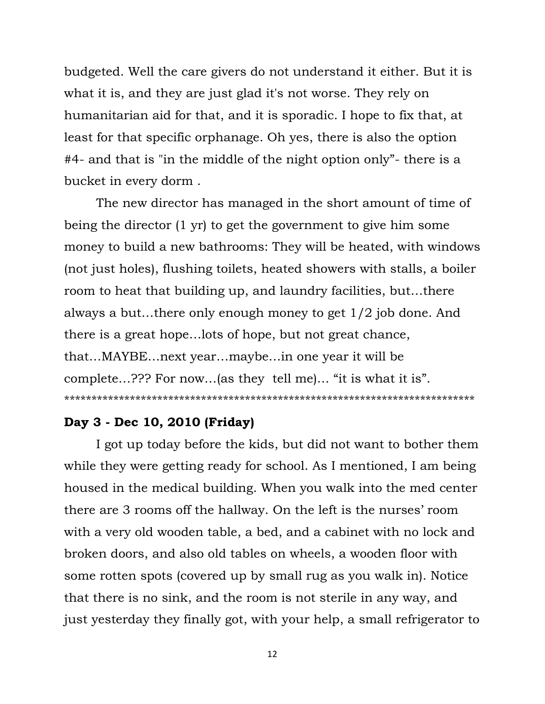budgeted. Well the care givers do not understand it either. But it is what it is, and they are just glad it's not worse. They rely on humanitarian aid for that, and it is sporadic. I hope to fix that, at least for that specific orphanage. Oh yes, there is also the option #4- and that is "in the middle of the night option only"- there is a bucket in every dorm .

The new director has managed in the short amount of time of being the director (1 yr) to get the government to give him some money to build a new bathrooms: They will be heated, with windows (not just holes), flushing toilets, heated showers with stalls, a boiler room to heat that building up, and laundry facilities, but…there always a but…there only enough money to get 1/2 job done. And there is a great hope…lots of hope, but not great chance, that…MAYBE…next year…maybe…in one year it will be complete…??? For now…(as they tell me)… "it is what it is". \*\*\*\*\*\*\*\*\*\*\*\*\*\*\*\*\*\*\*\*\*\*\*\*\*\*\*\*\*\*\*\*\*\*\*\*\*\*\*\*\*\*\*\*\*\*\*\*\*\*\*\*\*\*\*\*\*\*\*\*\*\*\*\*\*\*\*\*\*\*\*\*\*\*\*

# **Day 3 - Dec 10, 2010 (Friday)**

I got up today before the kids, but did not want to bother them while they were getting ready for school. As I mentioned, I am being housed in the medical building. When you walk into the med center there are 3 rooms off the hallway. On the left is the nurses' room with a very old wooden table, a bed, and a cabinet with no lock and broken doors, and also old tables on wheels, a wooden floor with some rotten spots (covered up by small rug as you walk in). Notice that there is no sink, and the room is not sterile in any way, and just yesterday they finally got, with your help, a small refrigerator to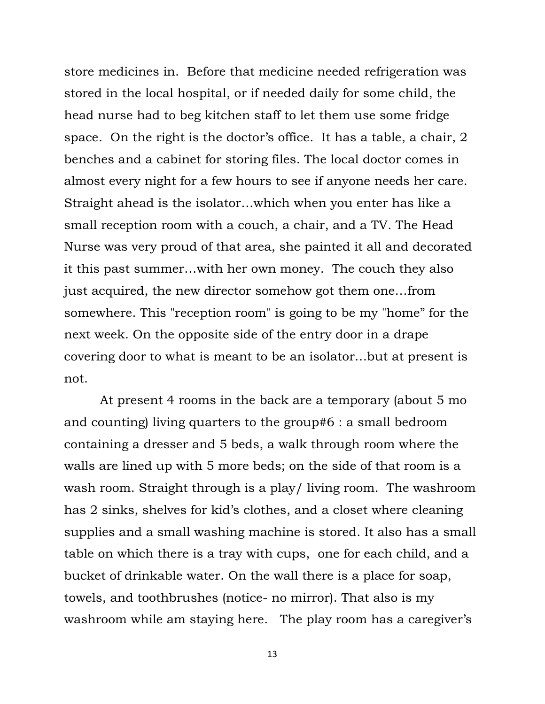store medicines in. Before that medicine needed refrigeration was stored in the local hospital, or if needed daily for some child, the head nurse had to beg kitchen staff to let them use some fridge space. On the right is the doctor's office. It has a table, a chair, 2 benches and a cabinet for storing files. The local doctor comes in almost every night for a few hours to see if anyone needs her care. Straight ahead is the isolator…which when you enter has like a small reception room with a couch, a chair, and a TV. The Head Nurse was very proud of that area, she painted it all and decorated it this past summer…with her own money. The couch they also just acquired, the new director somehow got them one…from somewhere. This "reception room" is going to be my "home" for the next week. On the opposite side of the entry door in a drape covering door to what is meant to be an isolator…but at present is not.

At present 4 rooms in the back are a temporary (about 5 mo and counting) living quarters to the group#6 : a small bedroom containing a dresser and 5 beds, a walk through room where the walls are lined up with 5 more beds; on the side of that room is a wash room. Straight through is a play/ living room. The washroom has 2 sinks, shelves for kid's clothes, and a closet where cleaning supplies and a small washing machine is stored. It also has a small table on which there is a tray with cups, one for each child, and a bucket of drinkable water. On the wall there is a place for soap, towels, and toothbrushes (notice- no mirror). That also is my washroom while am staying here. The play room has a caregiver's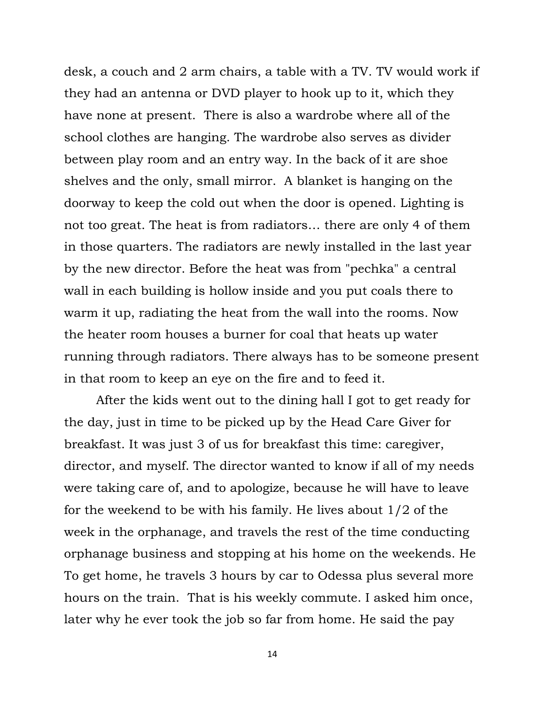desk, a couch and 2 arm chairs, a table with a TV. TV would work if they had an antenna or DVD player to hook up to it, which they have none at present. There is also a wardrobe where all of the school clothes are hanging. The wardrobe also serves as divider between play room and an entry way. In the back of it are shoe shelves and the only, small mirror. A blanket is hanging on the doorway to keep the cold out when the door is opened. Lighting is not too great. The heat is from radiators… there are only 4 of them in those quarters. The radiators are newly installed in the last year by the new director. Before the heat was from "pechka" a central wall in each building is hollow inside and you put coals there to warm it up, radiating the heat from the wall into the rooms. Now the heater room houses a burner for coal that heats up water running through radiators. There always has to be someone present in that room to keep an eye on the fire and to feed it.

After the kids went out to the dining hall I got to get ready for the day, just in time to be picked up by the Head Care Giver for breakfast. It was just 3 of us for breakfast this time: caregiver, director, and myself. The director wanted to know if all of my needs were taking care of, and to apologize, because he will have to leave for the weekend to be with his family. He lives about 1/2 of the week in the orphanage, and travels the rest of the time conducting orphanage business and stopping at his home on the weekends. He To get home, he travels 3 hours by car to Odessa plus several more hours on the train. That is his weekly commute. I asked him once, later why he ever took the job so far from home. He said the pay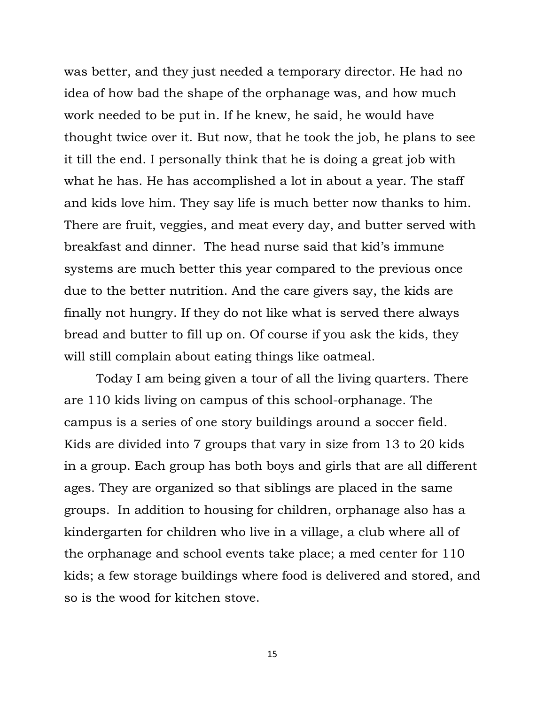was better, and they just needed a temporary director. He had no idea of how bad the shape of the orphanage was, and how much work needed to be put in. If he knew, he said, he would have thought twice over it. But now, that he took the job, he plans to see it till the end. I personally think that he is doing a great job with what he has. He has accomplished a lot in about a year. The staff and kids love him. They say life is much better now thanks to him. There are fruit, veggies, and meat every day, and butter served with breakfast and dinner. The head nurse said that kid"s immune systems are much better this year compared to the previous once due to the better nutrition. And the care givers say, the kids are finally not hungry. If they do not like what is served there always bread and butter to fill up on. Of course if you ask the kids, they will still complain about eating things like oatmeal.

Today I am being given a tour of all the living quarters. There are 110 kids living on campus of this school-orphanage. The campus is a series of one story buildings around a soccer field. Kids are divided into 7 groups that vary in size from 13 to 20 kids in a group. Each group has both boys and girls that are all different ages. They are organized so that siblings are placed in the same groups. In addition to housing for children, orphanage also has a kindergarten for children who live in a village, a club where all of the orphanage and school events take place; a med center for 110 kids; a few storage buildings where food is delivered and stored, and so is the wood for kitchen stove.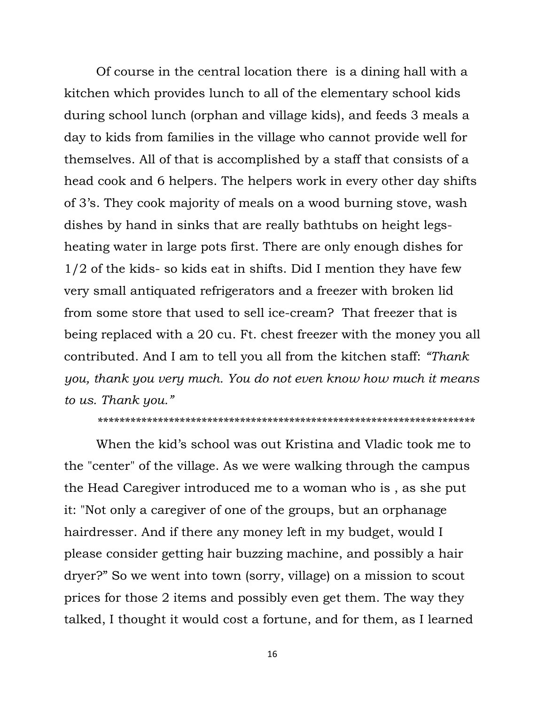Of course in the central location there is a dining hall with a kitchen which provides lunch to all of the elementary school kids during school lunch (orphan and village kids), and feeds 3 meals a day to kids from families in the village who cannot provide well for themselves. All of that is accomplished by a staff that consists of a head cook and 6 helpers. The helpers work in every other day shifts of 3"s. They cook majority of meals on a wood burning stove, wash dishes by hand in sinks that are really bathtubs on height legsheating water in large pots first. There are only enough dishes for 1/2 of the kids- so kids eat in shifts. Did I mention they have few very small antiquated refrigerators and a freezer with broken lid from some store that used to sell ice-cream? That freezer that is being replaced with a 20 cu. Ft. chest freezer with the money you all contributed. And I am to tell you all from the kitchen staff: *"Thank you, thank you very much. You do not even know how much it means to us. Thank you."*

*\*\*\*\*\*\*\*\*\*\*\*\*\*\*\*\*\*\*\*\*\*\*\*\*\*\*\*\*\*\*\*\*\*\*\*\*\*\*\*\*\*\*\*\*\*\*\*\*\*\*\*\*\*\*\*\*\*\*\*\*\*\*\*\*\*\*\*\*\**

When the kid"s school was out Kristina and Vladic took me to the "center" of the village. As we were walking through the campus the Head Caregiver introduced me to a woman who is , as she put it: "Not only a caregiver of one of the groups, but an orphanage hairdresser. And if there any money left in my budget, would I please consider getting hair buzzing machine, and possibly a hair dryer?" So we went into town (sorry, village) on a mission to scout prices for those 2 items and possibly even get them. The way they talked, I thought it would cost a fortune, and for them, as I learned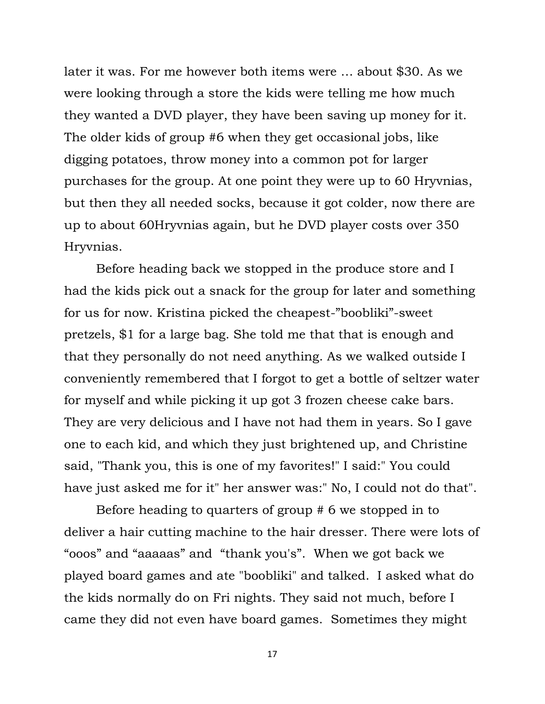later it was. For me however both items were … about \$30. As we were looking through a store the kids were telling me how much they wanted a DVD player, they have been saving up money for it. The older kids of group #6 when they get occasional jobs, like digging potatoes, throw money into a common pot for larger purchases for the group. At one point they were up to 60 Hryvnias, but then they all needed socks, because it got colder, now there are up to about 60Hryvnias again, but he DVD player costs over 350 Hryvnias.

Before heading back we stopped in the produce store and I had the kids pick out a snack for the group for later and something for us for now. Kristina picked the cheapest-"boobliki"-sweet pretzels, \$1 for a large bag. She told me that that is enough and that they personally do not need anything. As we walked outside I conveniently remembered that I forgot to get a bottle of seltzer water for myself and while picking it up got 3 frozen cheese cake bars. They are very delicious and I have not had them in years. So I gave one to each kid, and which they just brightened up, and Christine said, "Thank you, this is one of my favorites!" I said:" You could have just asked me for it" her answer was:" No, I could not do that".

Before heading to quarters of group # 6 we stopped in to deliver a hair cutting machine to the hair dresser. There were lots of "ooos" and "aaaaas" and "thank you's". When we got back we played board games and ate "boobliki" and talked. I asked what do the kids normally do on Fri nights. They said not much, before I came they did not even have board games. Sometimes they might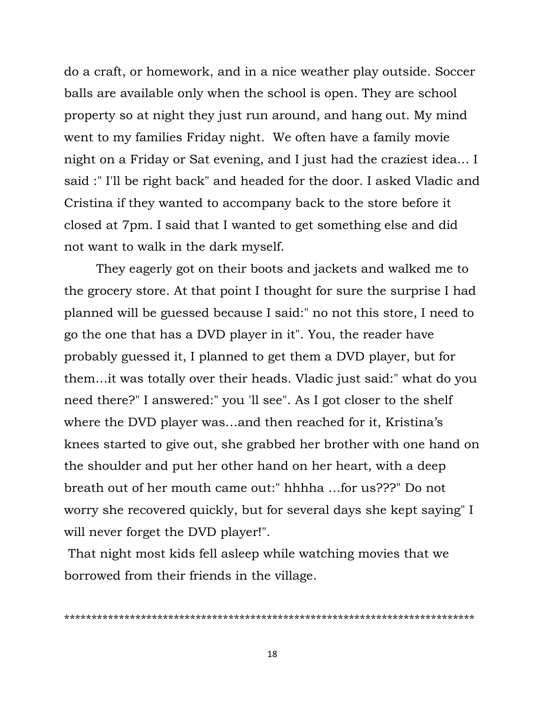do a craft, or homework, and in a nice weather play outside. Soccer balls are available only when the school is open. They are school property so at night they just run around, and hang out. My mind went to my families Friday night. We often have a family movie night on a Friday or Sat evening, and I just had the craziest idea… I said :" I'll be right back" and headed for the door. I asked Vladic and Cristina if they wanted to accompany back to the store before it closed at 7pm. I said that I wanted to get something else and did not want to walk in the dark myself.

They eagerly got on their boots and jackets and walked me to the grocery store. At that point I thought for sure the surprise I had planned will be guessed because I said:" no not this store, I need to go the one that has a DVD player in it". You, the reader have probably guessed it, I planned to get them a DVD player, but for them…it was totally over their heads. Vladic just said:" what do you need there?" I answered:" you 'll see". As I got closer to the shelf where the DVD player was...and then reached for it, Kristina's knees started to give out, she grabbed her brother with one hand on the shoulder and put her other hand on her heart, with a deep breath out of her mouth came out:" hhhha …for us???" Do not worry she recovered quickly, but for several days she kept saying" I will never forget the DVD player!".

That night most kids fell asleep while watching movies that we borrowed from their friends in the village.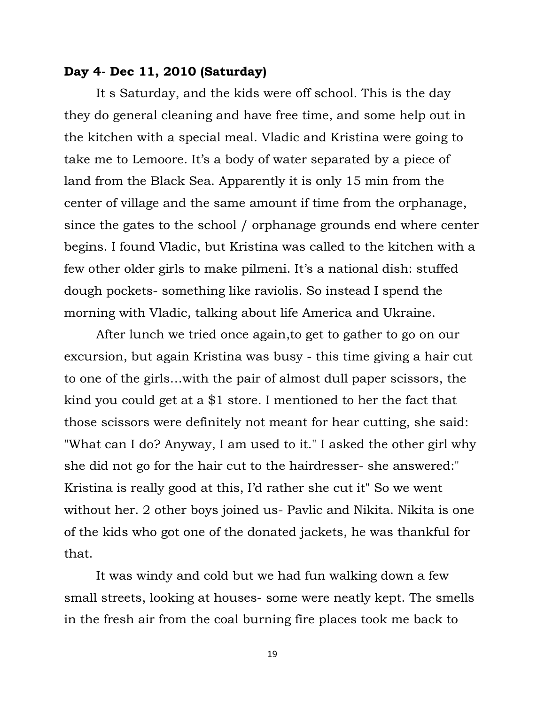# **Day 4- Dec 11, 2010 (Saturday)**

It s Saturday, and the kids were off school. This is the day they do general cleaning and have free time, and some help out in the kitchen with a special meal. Vladic and Kristina were going to take me to Lemoore. It's a body of water separated by a piece of land from the Black Sea. Apparently it is only 15 min from the center of village and the same amount if time from the orphanage, since the gates to the school / orphanage grounds end where center begins. I found Vladic, but Kristina was called to the kitchen with a few other older girls to make pilmeni. It's a national dish: stuffed dough pockets- something like raviolis. So instead I spend the morning with Vladic, talking about life America and Ukraine.

After lunch we tried once again,to get to gather to go on our excursion, but again Kristina was busy - this time giving a hair cut to one of the girls…with the pair of almost dull paper scissors, the kind you could get at a \$1 store. I mentioned to her the fact that those scissors were definitely not meant for hear cutting, she said: "What can I do? Anyway, I am used to it." I asked the other girl why she did not go for the hair cut to the hairdresser- she answered:" Kristina is really good at this, I"d rather she cut it" So we went without her. 2 other boys joined us- Pavlic and Nikita. Nikita is one of the kids who got one of the donated jackets, he was thankful for that.

It was windy and cold but we had fun walking down a few small streets, looking at houses- some were neatly kept. The smells in the fresh air from the coal burning fire places took me back to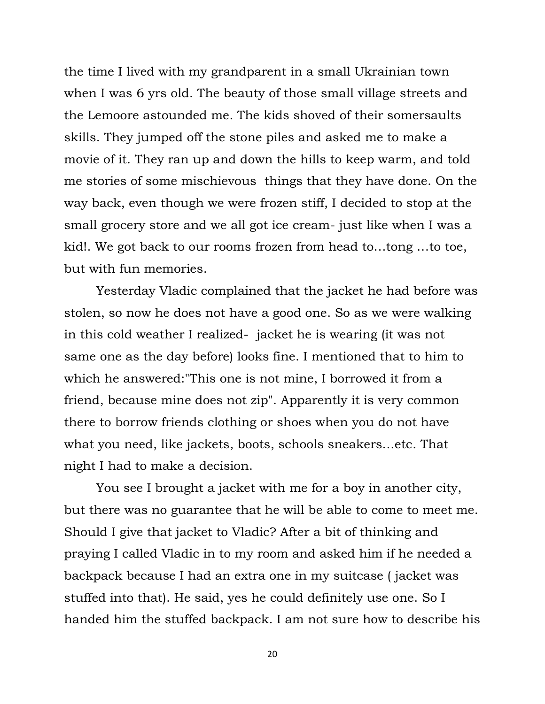the time I lived with my grandparent in a small Ukrainian town when I was 6 yrs old. The beauty of those small village streets and the Lemoore astounded me. The kids shoved of their somersaults skills. They jumped off the stone piles and asked me to make a movie of it. They ran up and down the hills to keep warm, and told me stories of some mischievous things that they have done. On the way back, even though we were frozen stiff, I decided to stop at the small grocery store and we all got ice cream- just like when I was a kid!. We got back to our rooms frozen from head to…tong …to toe, but with fun memories.

Yesterday Vladic complained that the jacket he had before was stolen, so now he does not have a good one. So as we were walking in this cold weather I realized- jacket he is wearing (it was not same one as the day before) looks fine. I mentioned that to him to which he answered:"This one is not mine, I borrowed it from a friend, because mine does not zip". Apparently it is very common there to borrow friends clothing or shoes when you do not have what you need, like jackets, boots, schools sneakers…etc. That night I had to make a decision.

You see I brought a jacket with me for a boy in another city, but there was no guarantee that he will be able to come to meet me. Should I give that jacket to Vladic? After a bit of thinking and praying I called Vladic in to my room and asked him if he needed a backpack because I had an extra one in my suitcase ( jacket was stuffed into that). He said, yes he could definitely use one. So I handed him the stuffed backpack. I am not sure how to describe his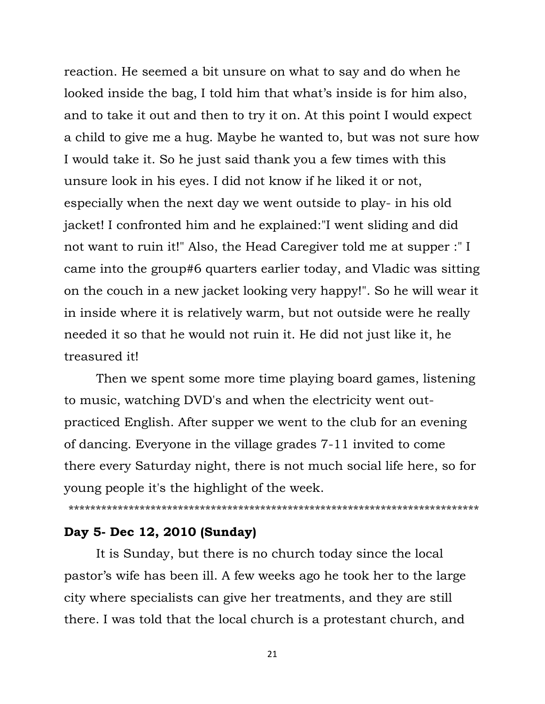reaction. He seemed a bit unsure on what to say and do when he looked inside the bag, I told him that what's inside is for him also, and to take it out and then to try it on. At this point I would expect a child to give me a hug. Maybe he wanted to, but was not sure how I would take it. So he just said thank you a few times with this unsure look in his eyes. I did not know if he liked it or not, especially when the next day we went outside to play- in his old jacket! I confronted him and he explained:"I went sliding and did not want to ruin it!" Also, the Head Caregiver told me at supper :" I came into the group#6 quarters earlier today, and Vladic was sitting on the couch in a new jacket looking very happy!". So he will wear it in inside where it is relatively warm, but not outside were he really needed it so that he would not ruin it. He did not just like it, he treasured it!

Then we spent some more time playing board games, listening to music, watching DVD's and when the electricity went outpracticed English. After supper we went to the club for an evening of dancing. Everyone in the village grades 7-11 invited to come there every Saturday night, there is not much social life here, so for young people it's the highlight of the week.

\*\*\*\*\*\*\*\*\*\*\*\*\*\*\*\*\*\*\*\*\*\*\*\*\*\*\*\*\*\*\*\*\*\*\*\*\*\*\*\*\*\*\*\*\*\*\*\*\*\*\*\*\*\*\*\*\*\*\*\*\*\*\*\*\*\*\*\*\*\*\*\*\*\*\*

# **Day 5- Dec 12, 2010 (Sunday)**

It is Sunday, but there is no church today since the local pastor"s wife has been ill. A few weeks ago he took her to the large city where specialists can give her treatments, and they are still there. I was told that the local church is a protestant church, and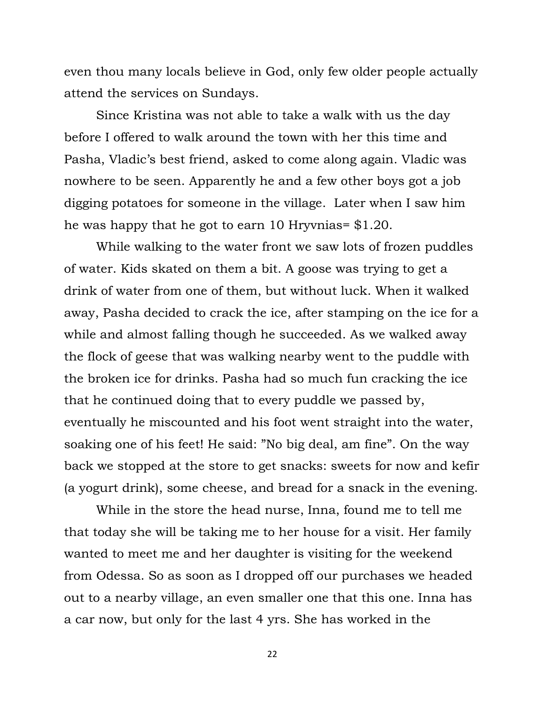even thou many locals believe in God, only few older people actually attend the services on Sundays.

Since Kristina was not able to take a walk with us the day before I offered to walk around the town with her this time and Pasha, Vladic"s best friend, asked to come along again. Vladic was nowhere to be seen. Apparently he and a few other boys got a job digging potatoes for someone in the village. Later when I saw him he was happy that he got to earn 10 Hryvnias= \$1.20.

While walking to the water front we saw lots of frozen puddles of water. Kids skated on them a bit. A goose was trying to get a drink of water from one of them, but without luck. When it walked away, Pasha decided to crack the ice, after stamping on the ice for a while and almost falling though he succeeded. As we walked away the flock of geese that was walking nearby went to the puddle with the broken ice for drinks. Pasha had so much fun cracking the ice that he continued doing that to every puddle we passed by, eventually he miscounted and his foot went straight into the water, soaking one of his feet! He said: "No big deal, am fine". On the way back we stopped at the store to get snacks: sweets for now and kefir (a yogurt drink), some cheese, and bread for a snack in the evening.

While in the store the head nurse, Inna, found me to tell me that today she will be taking me to her house for a visit. Her family wanted to meet me and her daughter is visiting for the weekend from Odessa. So as soon as I dropped off our purchases we headed out to a nearby village, an even smaller one that this one. Inna has a car now, but only for the last 4 yrs. She has worked in the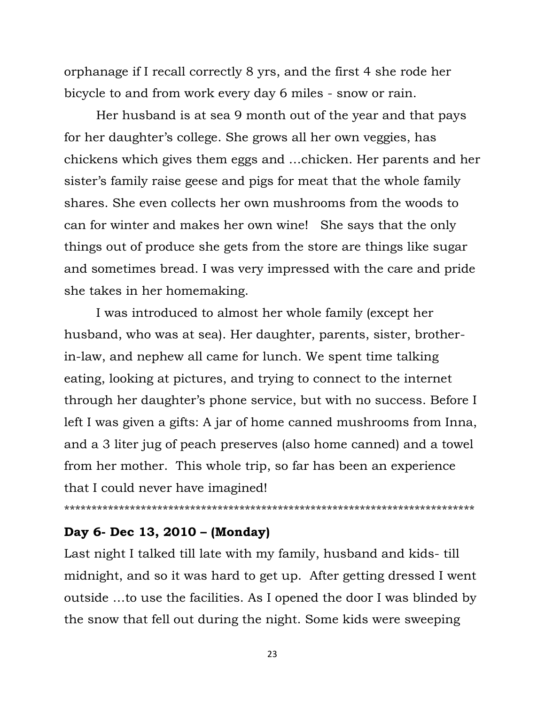orphanage if I recall correctly 8 yrs, and the first 4 she rode her bicycle to and from work every day 6 miles - snow or rain.

Her husband is at sea 9 month out of the year and that pays for her daughter"s college. She grows all her own veggies, has chickens which gives them eggs and …chicken. Her parents and her sister's family raise geese and pigs for meat that the whole family shares. She even collects her own mushrooms from the woods to can for winter and makes her own wine! She says that the only things out of produce she gets from the store are things like sugar and sometimes bread. I was very impressed with the care and pride she takes in her homemaking.

I was introduced to almost her whole family (except her husband, who was at sea). Her daughter, parents, sister, brotherin-law, and nephew all came for lunch. We spent time talking eating, looking at pictures, and trying to connect to the internet through her daughter"s phone service, but with no success. Before I left I was given a gifts: A jar of home canned mushrooms from Inna, and a 3 liter jug of peach preserves (also home canned) and a towel from her mother. This whole trip, so far has been an experience that I could never have imagined!

\*\*\*\*\*\*\*\*\*\*\*\*\*\*\*\*\*\*\*\*\*\*\*\*\*\*\*\*\*\*\*\*\*\*\*\*\*\*\*\*\*\*\*\*\*\*\*\*\*\*\*\*\*\*\*\*\*\*\*\*\*\*\*\*\*\*\*\*\*\*\*\*\*\*\*

# **Day 6- Dec 13, 2010 – (Monday)**

Last night I talked till late with my family, husband and kids- till midnight, and so it was hard to get up. After getting dressed I went outside …to use the facilities. As I opened the door I was blinded by the snow that fell out during the night. Some kids were sweeping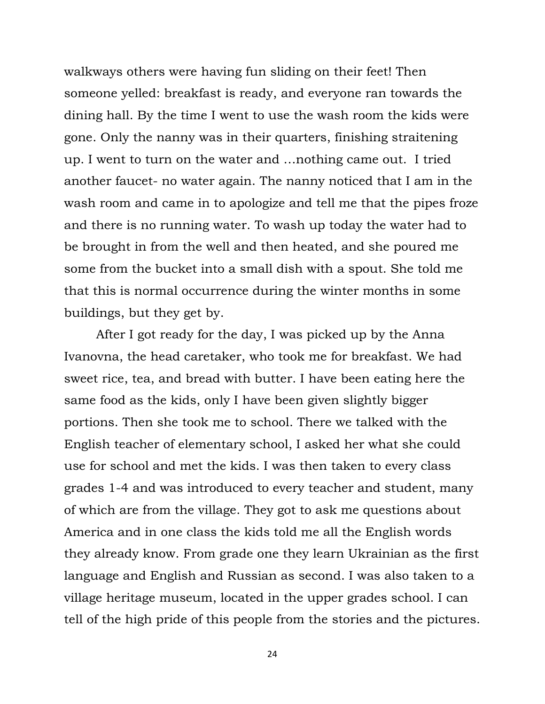walkways others were having fun sliding on their feet! Then someone yelled: breakfast is ready, and everyone ran towards the dining hall. By the time I went to use the wash room the kids were gone. Only the nanny was in their quarters, finishing straitening up. I went to turn on the water and …nothing came out. I tried another faucet- no water again. The nanny noticed that I am in the wash room and came in to apologize and tell me that the pipes froze and there is no running water. To wash up today the water had to be brought in from the well and then heated, and she poured me some from the bucket into a small dish with a spout. She told me that this is normal occurrence during the winter months in some buildings, but they get by.

After I got ready for the day, I was picked up by the Anna Ivanovna, the head caretaker, who took me for breakfast. We had sweet rice, tea, and bread with butter. I have been eating here the same food as the kids, only I have been given slightly bigger portions. Then she took me to school. There we talked with the English teacher of elementary school, I asked her what she could use for school and met the kids. I was then taken to every class grades 1-4 and was introduced to every teacher and student, many of which are from the village. They got to ask me questions about America and in one class the kids told me all the English words they already know. From grade one they learn Ukrainian as the first language and English and Russian as second. I was also taken to a village heritage museum, located in the upper grades school. I can tell of the high pride of this people from the stories and the pictures.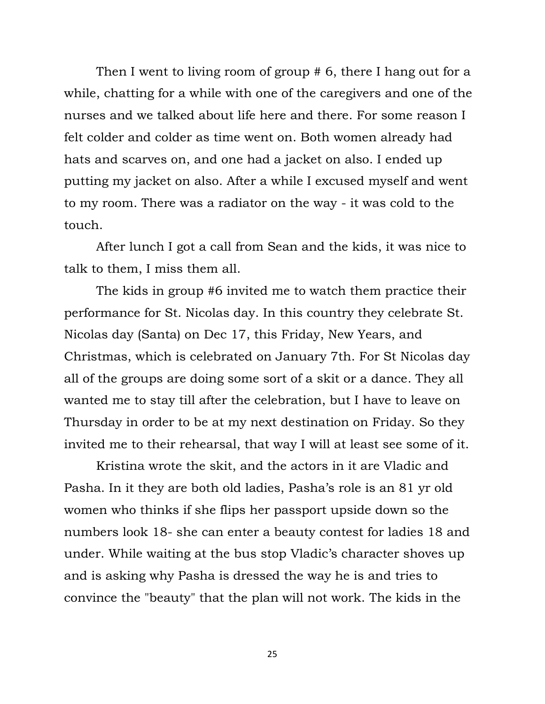Then I went to living room of group # 6, there I hang out for a while, chatting for a while with one of the caregivers and one of the nurses and we talked about life here and there. For some reason I felt colder and colder as time went on. Both women already had hats and scarves on, and one had a jacket on also. I ended up putting my jacket on also. After a while I excused myself and went to my room. There was a radiator on the way - it was cold to the touch.

After lunch I got a call from Sean and the kids, it was nice to talk to them, I miss them all.

The kids in group #6 invited me to watch them practice their performance for St. Nicolas day. In this country they celebrate St. Nicolas day (Santa) on Dec 17, this Friday, New Years, and Christmas, which is celebrated on January 7th. For St Nicolas day all of the groups are doing some sort of a skit or a dance. They all wanted me to stay till after the celebration, but I have to leave on Thursday in order to be at my next destination on Friday. So they invited me to their rehearsal, that way I will at least see some of it.

Kristina wrote the skit, and the actors in it are Vladic and Pasha. In it they are both old ladies, Pasha's role is an 81 yr old women who thinks if she flips her passport upside down so the numbers look 18- she can enter a beauty contest for ladies 18 and under. While waiting at the bus stop Vladic"s character shoves up and is asking why Pasha is dressed the way he is and tries to convince the "beauty" that the plan will not work. The kids in the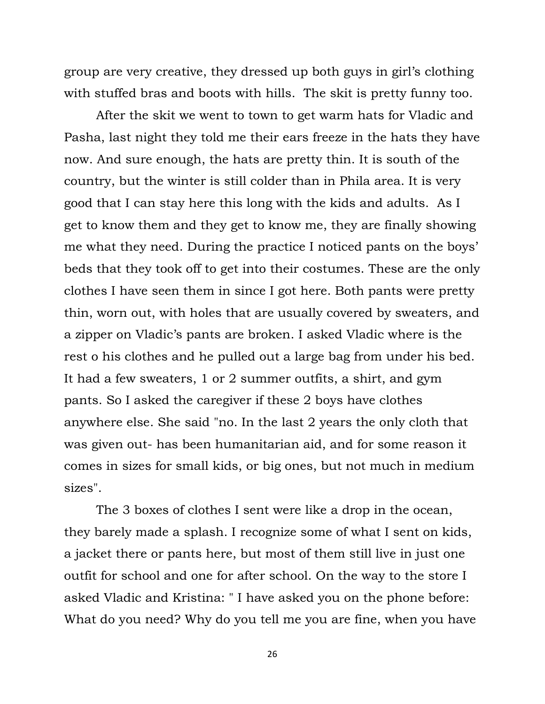group are very creative, they dressed up both guys in girl"s clothing with stuffed bras and boots with hills. The skit is pretty funny too.

After the skit we went to town to get warm hats for Vladic and Pasha, last night they told me their ears freeze in the hats they have now. And sure enough, the hats are pretty thin. It is south of the country, but the winter is still colder than in Phila area. It is very good that I can stay here this long with the kids and adults. As I get to know them and they get to know me, they are finally showing me what they need. During the practice I noticed pants on the boys" beds that they took off to get into their costumes. These are the only clothes I have seen them in since I got here. Both pants were pretty thin, worn out, with holes that are usually covered by sweaters, and a zipper on Vladic"s pants are broken. I asked Vladic where is the rest o his clothes and he pulled out a large bag from under his bed. It had a few sweaters, 1 or 2 summer outfits, a shirt, and gym pants. So I asked the caregiver if these 2 boys have clothes anywhere else. She said "no. In the last 2 years the only cloth that was given out- has been humanitarian aid, and for some reason it comes in sizes for small kids, or big ones, but not much in medium sizes".

The 3 boxes of clothes I sent were like a drop in the ocean, they barely made a splash. I recognize some of what I sent on kids, a jacket there or pants here, but most of them still live in just one outfit for school and one for after school. On the way to the store I asked Vladic and Kristina: " I have asked you on the phone before: What do you need? Why do you tell me you are fine, when you have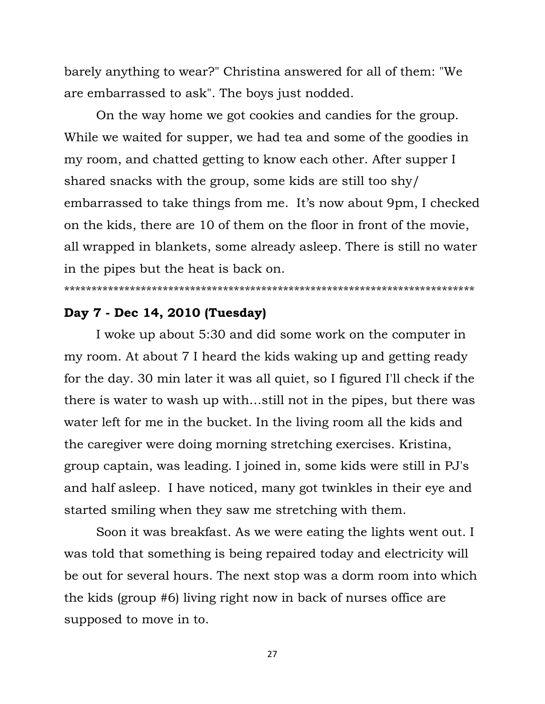barely anything to wear?" Christina answered for all of them: "We are embarrassed to ask". The boys just nodded.

On the way home we got cookies and candies for the group. While we waited for supper, we had tea and some of the goodies in my room, and chatted getting to know each other. After supper I shared snacks with the group, some kids are still too shy/ embarrassed to take things from me. It's now about 9pm, I checked on the kids, there are 10 of them on the floor in front of the movie, all wrapped in blankets, some already asleep. There is still no water in the pipes but the heat is back on.

#### \*\*\*\*\*\*\*\*\*\*\*\*\*\*\*\*\*\*\*\*\*\*\*\*\*\*\*\*\*\*\*\*\*\*\*\*\*\*\*\*\*\*\*\*\*\*\*\*\*\*\*\*\*\*\*\*\*\*\*\*\*\*\*\*\*\*\*\*\*\*\*\*\*\*\*

### **Day 7 - Dec 14, 2010 (Tuesday)**

I woke up about 5:30 and did some work on the computer in my room. At about 7 I heard the kids waking up and getting ready for the day. 30 min later it was all quiet, so I figured I'll check if the there is water to wash up with…still not in the pipes, but there was water left for me in the bucket. In the living room all the kids and the caregiver were doing morning stretching exercises. Kristina, group captain, was leading. I joined in, some kids were still in PJ's and half asleep. I have noticed, many got twinkles in their eye and started smiling when they saw me stretching with them.

Soon it was breakfast. As we were eating the lights went out. I was told that something is being repaired today and electricity will be out for several hours. The next stop was a dorm room into which the kids (group #6) living right now in back of nurses office are supposed to move in to.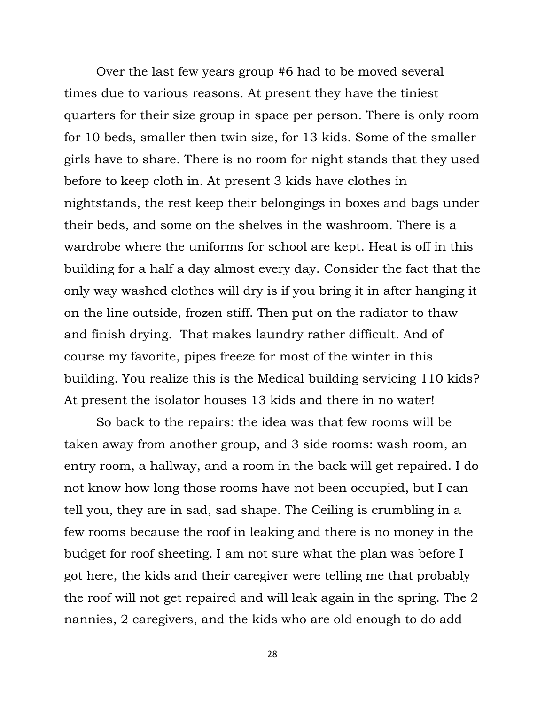Over the last few years group #6 had to be moved several times due to various reasons. At present they have the tiniest quarters for their size group in space per person. There is only room for 10 beds, smaller then twin size, for 13 kids. Some of the smaller girls have to share. There is no room for night stands that they used before to keep cloth in. At present 3 kids have clothes in nightstands, the rest keep their belongings in boxes and bags under their beds, and some on the shelves in the washroom. There is a wardrobe where the uniforms for school are kept. Heat is off in this building for a half a day almost every day. Consider the fact that the only way washed clothes will dry is if you bring it in after hanging it on the line outside, frozen stiff. Then put on the radiator to thaw and finish drying. That makes laundry rather difficult. And of course my favorite, pipes freeze for most of the winter in this building. You realize this is the Medical building servicing 110 kids? At present the isolator houses 13 kids and there in no water!

So back to the repairs: the idea was that few rooms will be taken away from another group, and 3 side rooms: wash room, an entry room, a hallway, and a room in the back will get repaired. I do not know how long those rooms have not been occupied, but I can tell you, they are in sad, sad shape. The Ceiling is crumbling in a few rooms because the roof in leaking and there is no money in the budget for roof sheeting. I am not sure what the plan was before I got here, the kids and their caregiver were telling me that probably the roof will not get repaired and will leak again in the spring. The 2 nannies, 2 caregivers, and the kids who are old enough to do add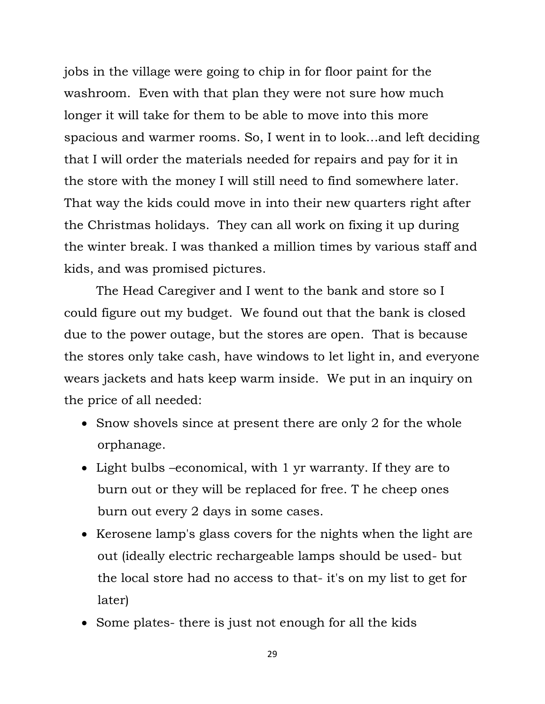jobs in the village were going to chip in for floor paint for the washroom. Even with that plan they were not sure how much longer it will take for them to be able to move into this more spacious and warmer rooms. So, I went in to look…and left deciding that I will order the materials needed for repairs and pay for it in the store with the money I will still need to find somewhere later. That way the kids could move in into their new quarters right after the Christmas holidays. They can all work on fixing it up during the winter break. I was thanked a million times by various staff and kids, and was promised pictures.

The Head Caregiver and I went to the bank and store so I could figure out my budget. We found out that the bank is closed due to the power outage, but the stores are open. That is because the stores only take cash, have windows to let light in, and everyone wears jackets and hats keep warm inside. We put in an inquiry on the price of all needed:

- Snow shovels since at present there are only 2 for the whole orphanage.
- Light bulbs –economical, with 1 yr warranty. If they are to burn out or they will be replaced for free. T he cheep ones burn out every 2 days in some cases.
- Kerosene lamp's glass covers for the nights when the light are out (ideally electric rechargeable lamps should be used- but the local store had no access to that- it's on my list to get for later)
- Some plates- there is just not enough for all the kids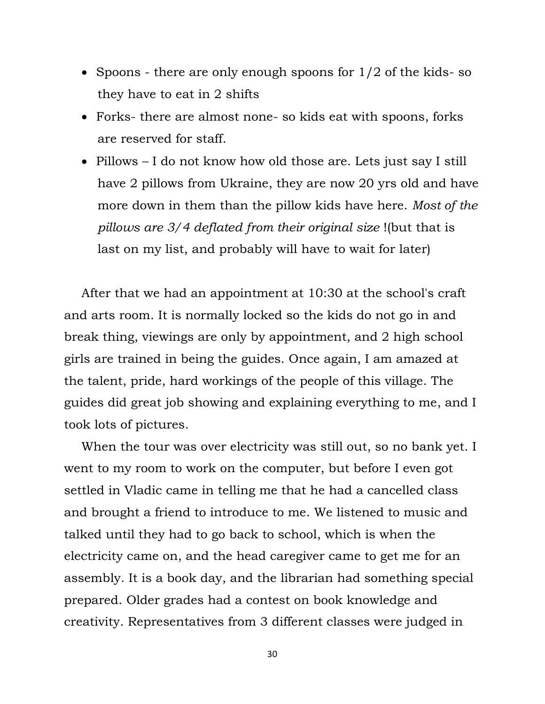- Spoons there are only enough spoons for  $1/2$  of the kids-so they have to eat in 2 shifts
- Forks- there are almost none- so kids eat with spoons, forks are reserved for staff.
- Pillows I do not know how old those are. Lets just say I still have 2 pillows from Ukraine, they are now 20 yrs old and have more down in them than the pillow kids have here. *Most of the pillows are 3/4 deflated from their original size* !(but that is last on my list, and probably will have to wait for later)

After that we had an appointment at 10:30 at the school's craft and arts room. It is normally locked so the kids do not go in and break thing, viewings are only by appointment, and 2 high school girls are trained in being the guides. Once again, I am amazed at the talent, pride, hard workings of the people of this village. The guides did great job showing and explaining everything to me, and I took lots of pictures.

When the tour was over electricity was still out, so no bank yet. I went to my room to work on the computer, but before I even got settled in Vladic came in telling me that he had a cancelled class and brought a friend to introduce to me. We listened to music and talked until they had to go back to school, which is when the electricity came on, and the head caregiver came to get me for an assembly. It is a book day, and the librarian had something special prepared. Older grades had a contest on book knowledge and creativity. Representatives from 3 different classes were judged in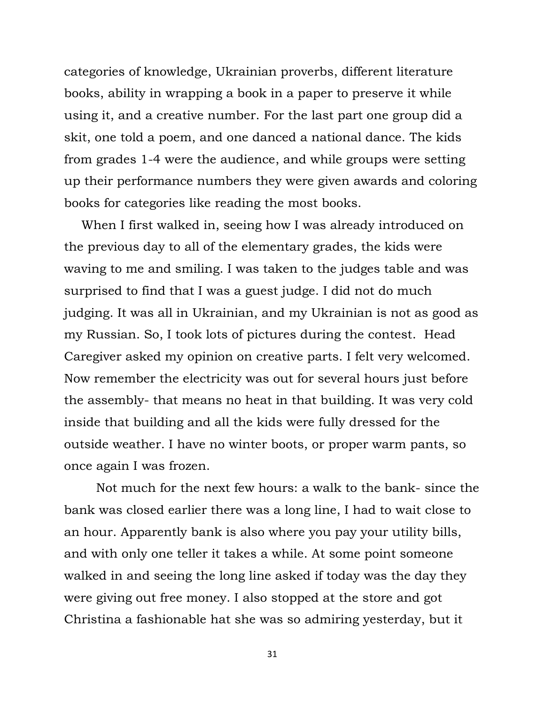categories of knowledge, Ukrainian proverbs, different literature books, ability in wrapping a book in a paper to preserve it while using it, and a creative number. For the last part one group did a skit, one told a poem, and one danced a national dance. The kids from grades 1-4 were the audience, and while groups were setting up their performance numbers they were given awards and coloring books for categories like reading the most books.

When I first walked in, seeing how I was already introduced on the previous day to all of the elementary grades, the kids were waving to me and smiling. I was taken to the judges table and was surprised to find that I was a guest judge. I did not do much judging. It was all in Ukrainian, and my Ukrainian is not as good as my Russian. So, I took lots of pictures during the contest. Head Caregiver asked my opinion on creative parts. I felt very welcomed. Now remember the electricity was out for several hours just before the assembly- that means no heat in that building. It was very cold inside that building and all the kids were fully dressed for the outside weather. I have no winter boots, or proper warm pants, so once again I was frozen.

Not much for the next few hours: a walk to the bank- since the bank was closed earlier there was a long line, I had to wait close to an hour. Apparently bank is also where you pay your utility bills, and with only one teller it takes a while. At some point someone walked in and seeing the long line asked if today was the day they were giving out free money. I also stopped at the store and got Christina a fashionable hat she was so admiring yesterday, but it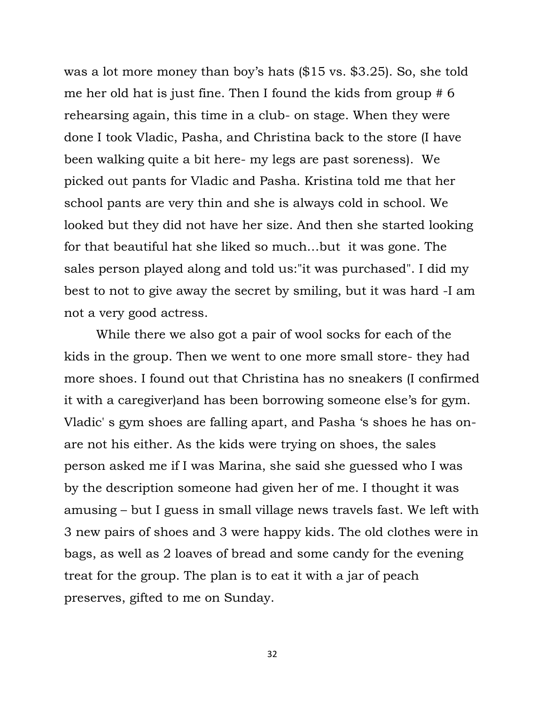was a lot more money than boy's hats (\$15 vs. \$3.25). So, she told me her old hat is just fine. Then I found the kids from group # 6 rehearsing again, this time in a club- on stage. When they were done I took Vladic, Pasha, and Christina back to the store (I have been walking quite a bit here- my legs are past soreness). We picked out pants for Vladic and Pasha. Kristina told me that her school pants are very thin and she is always cold in school. We looked but they did not have her size. And then she started looking for that beautiful hat she liked so much…but it was gone. The sales person played along and told us:"it was purchased". I did my best to not to give away the secret by smiling, but it was hard -I am not a very good actress.

While there we also got a pair of wool socks for each of the kids in the group. Then we went to one more small store- they had more shoes. I found out that Christina has no sneakers (I confirmed it with a caregiver)and has been borrowing someone else"s for gym. Vladic' s gym shoes are falling apart, and Pasha "s shoes he has onare not his either. As the kids were trying on shoes, the sales person asked me if I was Marina, she said she guessed who I was by the description someone had given her of me. I thought it was amusing – but I guess in small village news travels fast. We left with 3 new pairs of shoes and 3 were happy kids. The old clothes were in bags, as well as 2 loaves of bread and some candy for the evening treat for the group. The plan is to eat it with a jar of peach preserves, gifted to me on Sunday.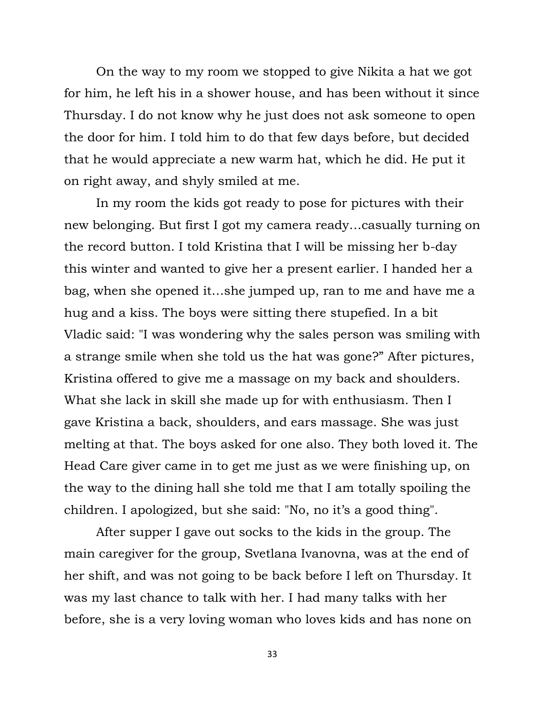On the way to my room we stopped to give Nikita a hat we got for him, he left his in a shower house, and has been without it since Thursday. I do not know why he just does not ask someone to open the door for him. I told him to do that few days before, but decided that he would appreciate a new warm hat, which he did. He put it on right away, and shyly smiled at me.

In my room the kids got ready to pose for pictures with their new belonging. But first I got my camera ready…casually turning on the record button. I told Kristina that I will be missing her b-day this winter and wanted to give her a present earlier. I handed her a bag, when she opened it…she jumped up, ran to me and have me a hug and a kiss. The boys were sitting there stupefied. In a bit Vladic said: "I was wondering why the sales person was smiling with a strange smile when she told us the hat was gone?" After pictures, Kristina offered to give me a massage on my back and shoulders. What she lack in skill she made up for with enthusiasm. Then I gave Kristina a back, shoulders, and ears massage. She was just melting at that. The boys asked for one also. They both loved it. The Head Care giver came in to get me just as we were finishing up, on the way to the dining hall she told me that I am totally spoiling the children. I apologized, but she said: "No, no it's a good thing".

After supper I gave out socks to the kids in the group. The main caregiver for the group, Svetlana Ivanovna, was at the end of her shift, and was not going to be back before I left on Thursday. It was my last chance to talk with her. I had many talks with her before, she is a very loving woman who loves kids and has none on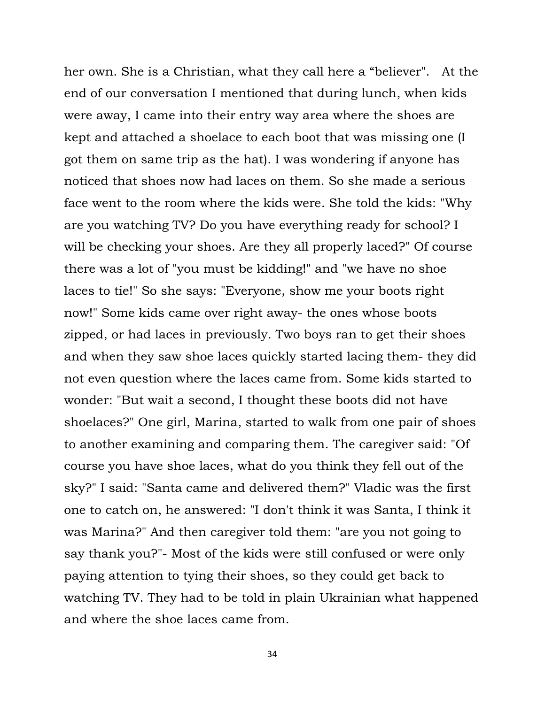her own. She is a Christian, what they call here a "believer". At the end of our conversation I mentioned that during lunch, when kids were away, I came into their entry way area where the shoes are kept and attached a shoelace to each boot that was missing one (I got them on same trip as the hat). I was wondering if anyone has noticed that shoes now had laces on them. So she made a serious face went to the room where the kids were. She told the kids: "Why are you watching TV? Do you have everything ready for school? I will be checking your shoes. Are they all properly laced?" Of course there was a lot of "you must be kidding!" and "we have no shoe laces to tie!" So she says: "Everyone, show me your boots right now!" Some kids came over right away- the ones whose boots zipped, or had laces in previously. Two boys ran to get their shoes and when they saw shoe laces quickly started lacing them- they did not even question where the laces came from. Some kids started to wonder: "But wait a second, I thought these boots did not have shoelaces?" One girl, Marina, started to walk from one pair of shoes to another examining and comparing them. The caregiver said: "Of course you have shoe laces, what do you think they fell out of the sky?" I said: "Santa came and delivered them?" Vladic was the first one to catch on, he answered: "I don't think it was Santa, I think it was Marina?" And then caregiver told them: "are you not going to say thank you?"- Most of the kids were still confused or were only paying attention to tying their shoes, so they could get back to watching TV. They had to be told in plain Ukrainian what happened and where the shoe laces came from.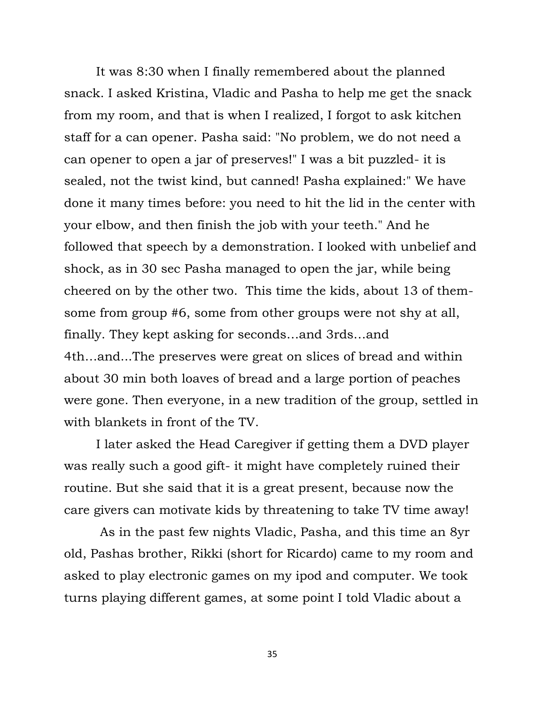It was 8:30 when I finally remembered about the planned snack. I asked Kristina, Vladic and Pasha to help me get the snack from my room, and that is when I realized, I forgot to ask kitchen staff for a can opener. Pasha said: "No problem, we do not need a can opener to open a jar of preserves!" I was a bit puzzled- it is sealed, not the twist kind, but canned! Pasha explained:" We have done it many times before: you need to hit the lid in the center with your elbow, and then finish the job with your teeth." And he followed that speech by a demonstration. I looked with unbelief and shock, as in 30 sec Pasha managed to open the jar, while being cheered on by the other two. This time the kids, about 13 of themsome from group #6, some from other groups were not shy at all, finally. They kept asking for seconds…and 3rds…and 4th…and...The preserves were great on slices of bread and within about 30 min both loaves of bread and a large portion of peaches were gone. Then everyone, in a new tradition of the group, settled in with blankets in front of the TV.

I later asked the Head Caregiver if getting them a DVD player was really such a good gift- it might have completely ruined their routine. But she said that it is a great present, because now the care givers can motivate kids by threatening to take TV time away!

As in the past few nights Vladic, Pasha, and this time an 8yr old, Pashas brother, Rikki (short for Ricardo) came to my room and asked to play electronic games on my ipod and computer. We took turns playing different games, at some point I told Vladic about a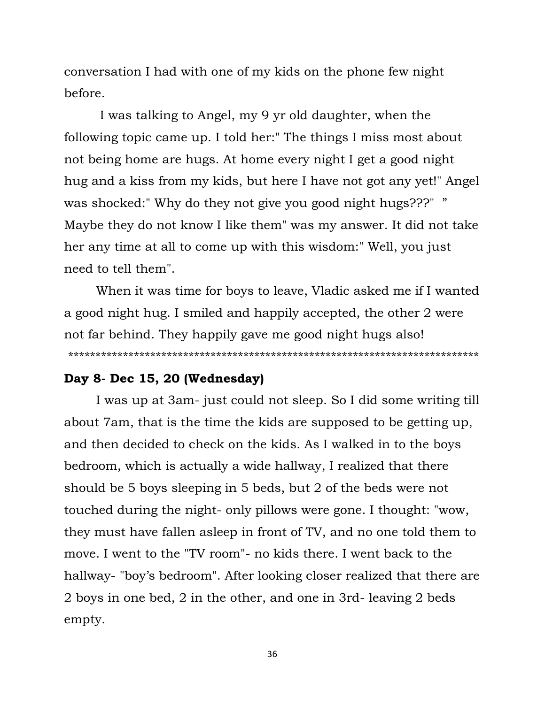conversation I had with one of my kids on the phone few night before.

I was talking to Angel, my 9 yr old daughter, when the following topic came up. I told her:" The things I miss most about not being home are hugs. At home every night I get a good night hug and a kiss from my kids, but here I have not got any yet!" Angel was shocked:" Why do they not give you good night hugs???" " Maybe they do not know I like them" was my answer. It did not take her any time at all to come up with this wisdom:" Well, you just need to tell them".

When it was time for boys to leave, Vladic asked me if I wanted a good night hug. I smiled and happily accepted, the other 2 were not far behind. They happily gave me good night hugs also! \*\*\*\*\*\*\*\*\*\*\*\*\*\*\*\*\*\*\*\*\*\*\*\*\*\*\*\*\*\*\*\*\*\*\*\*\*\*\*\*\*\*\*\*\*\*\*\*\*\*\*\*\*\*\*\*\*\*\*\*\*\*\*\*\*\*\*\*\*\*\*\*\*\*\*

### **Day 8- Dec 15, 20 (Wednesday)**

I was up at 3am- just could not sleep. So I did some writing till about 7am, that is the time the kids are supposed to be getting up, and then decided to check on the kids. As I walked in to the boys bedroom, which is actually a wide hallway, I realized that there should be 5 boys sleeping in 5 beds, but 2 of the beds were not touched during the night- only pillows were gone. I thought: "wow, they must have fallen asleep in front of TV, and no one told them to move. I went to the "TV room"- no kids there. I went back to the hallway- "boy's bedroom". After looking closer realized that there are 2 boys in one bed, 2 in the other, and one in 3rd- leaving 2 beds empty.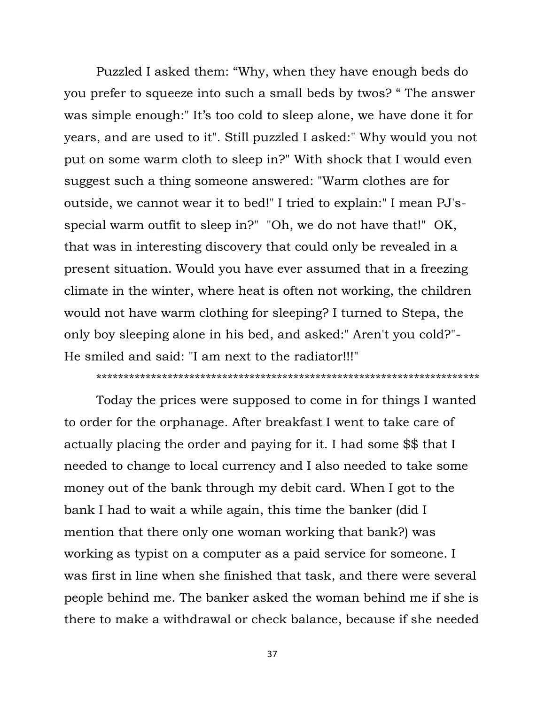Puzzled I asked them: "Why, when they have enough beds do you prefer to squeeze into such a small beds by twos? " The answer was simple enough:" It's too cold to sleep alone, we have done it for years, and are used to it". Still puzzled I asked:" Why would you not put on some warm cloth to sleep in?" With shock that I would even suggest such a thing someone answered: "Warm clothes are for outside, we cannot wear it to bed!" I tried to explain:" I mean PJ'sspecial warm outfit to sleep in?" "Oh, we do not have that!" OK, that was in interesting discovery that could only be revealed in a present situation. Would you have ever assumed that in a freezing climate in the winter, where heat is often not working, the children would not have warm clothing for sleeping? I turned to Stepa, the only boy sleeping alone in his bed, and asked:" Aren't you cold?"- He smiled and said: "I am next to the radiator!!!"

#### \*\*\*\*\*\*\*\*\*\*\*\*\*\*\*\*\*\*\*\*\*\*\*\*\*\*\*\*\*\*\*\*\*\*\*\*\*\*\*\*\*\*\*\*\*\*\*\*\*\*\*\*\*\*\*\*\*\*\*\*\*\*\*\*\*\*\*\*\*\*

Today the prices were supposed to come in for things I wanted to order for the orphanage. After breakfast I went to take care of actually placing the order and paying for it. I had some \$\$ that I needed to change to local currency and I also needed to take some money out of the bank through my debit card. When I got to the bank I had to wait a while again, this time the banker (did I mention that there only one woman working that bank?) was working as typist on a computer as a paid service for someone. I was first in line when she finished that task, and there were several people behind me. The banker asked the woman behind me if she is there to make a withdrawal or check balance, because if she needed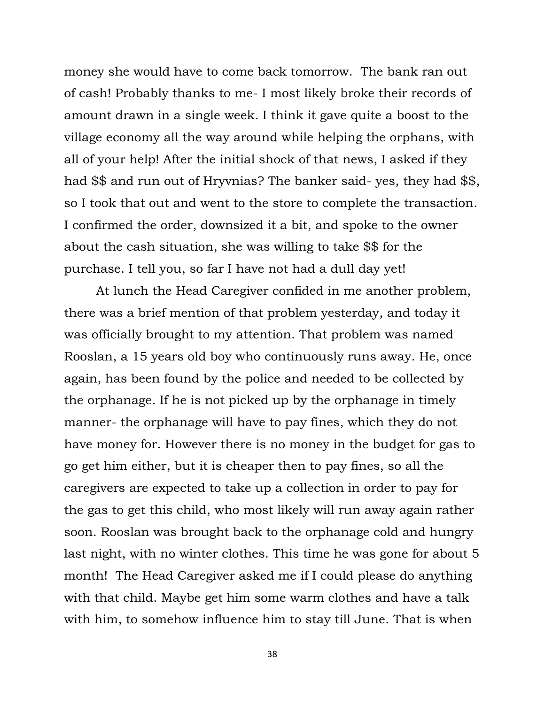money she would have to come back tomorrow. The bank ran out of cash! Probably thanks to me- I most likely broke their records of amount drawn in a single week. I think it gave quite a boost to the village economy all the way around while helping the orphans, with all of your help! After the initial shock of that news, I asked if they had \$\$ and run out of Hryvnias? The banker said- yes, they had \$\$, so I took that out and went to the store to complete the transaction. I confirmed the order, downsized it a bit, and spoke to the owner about the cash situation, she was willing to take \$\$ for the purchase. I tell you, so far I have not had a dull day yet!

At lunch the Head Caregiver confided in me another problem, there was a brief mention of that problem yesterday, and today it was officially brought to my attention. That problem was named Rooslan, a 15 years old boy who continuously runs away. He, once again, has been found by the police and needed to be collected by the orphanage. If he is not picked up by the orphanage in timely manner- the orphanage will have to pay fines, which they do not have money for. However there is no money in the budget for gas to go get him either, but it is cheaper then to pay fines, so all the caregivers are expected to take up a collection in order to pay for the gas to get this child, who most likely will run away again rather soon. Rooslan was brought back to the orphanage cold and hungry last night, with no winter clothes. This time he was gone for about 5 month! The Head Caregiver asked me if I could please do anything with that child. Maybe get him some warm clothes and have a talk with him, to somehow influence him to stay till June. That is when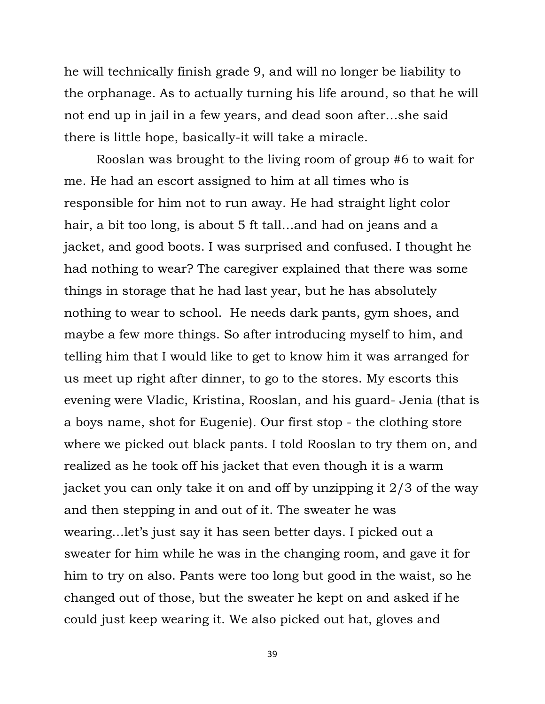he will technically finish grade 9, and will no longer be liability to the orphanage. As to actually turning his life around, so that he will not end up in jail in a few years, and dead soon after…she said there is little hope, basically-it will take a miracle.

Rooslan was brought to the living room of group #6 to wait for me. He had an escort assigned to him at all times who is responsible for him not to run away. He had straight light color hair, a bit too long, is about 5 ft tall...and had on jeans and a jacket, and good boots. I was surprised and confused. I thought he had nothing to wear? The caregiver explained that there was some things in storage that he had last year, but he has absolutely nothing to wear to school. He needs dark pants, gym shoes, and maybe a few more things. So after introducing myself to him, and telling him that I would like to get to know him it was arranged for us meet up right after dinner, to go to the stores. My escorts this evening were Vladic, Kristina, Rooslan, and his guard- Jenia (that is a boys name, shot for Eugenie). Our first stop - the clothing store where we picked out black pants. I told Rooslan to try them on, and realized as he took off his jacket that even though it is a warm jacket you can only take it on and off by unzipping it 2/3 of the way and then stepping in and out of it. The sweater he was wearing... let's just say it has seen better days. I picked out a sweater for him while he was in the changing room, and gave it for him to try on also. Pants were too long but good in the waist, so he changed out of those, but the sweater he kept on and asked if he could just keep wearing it. We also picked out hat, gloves and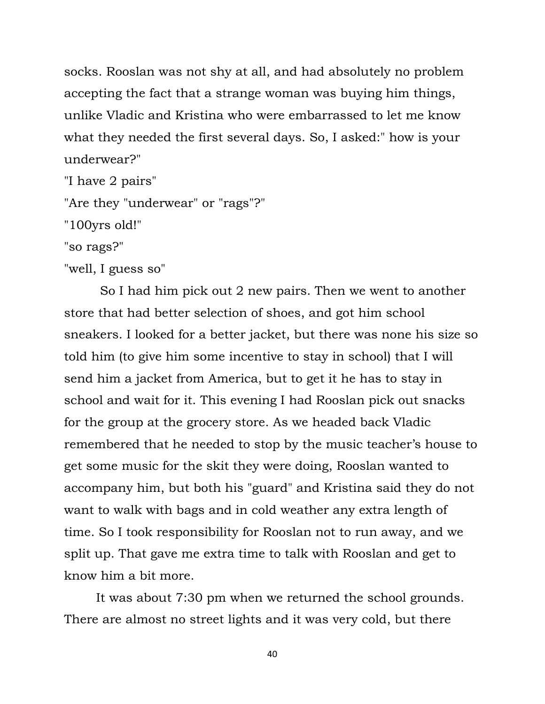socks. Rooslan was not shy at all, and had absolutely no problem accepting the fact that a strange woman was buying him things, unlike Vladic and Kristina who were embarrassed to let me know what they needed the first several days. So, I asked:" how is your underwear?"

"I have 2 pairs"

"Are they "underwear" or "rags"?"

"100yrs old!"

"so rags?"

"well, I guess so"

So I had him pick out 2 new pairs. Then we went to another store that had better selection of shoes, and got him school sneakers. I looked for a better jacket, but there was none his size so told him (to give him some incentive to stay in school) that I will send him a jacket from America, but to get it he has to stay in school and wait for it. This evening I had Rooslan pick out snacks for the group at the grocery store. As we headed back Vladic remembered that he needed to stop by the music teacher"s house to get some music for the skit they were doing, Rooslan wanted to accompany him, but both his "guard" and Kristina said they do not want to walk with bags and in cold weather any extra length of time. So I took responsibility for Rooslan not to run away, and we split up. That gave me extra time to talk with Rooslan and get to know him a bit more.

It was about 7:30 pm when we returned the school grounds. There are almost no street lights and it was very cold, but there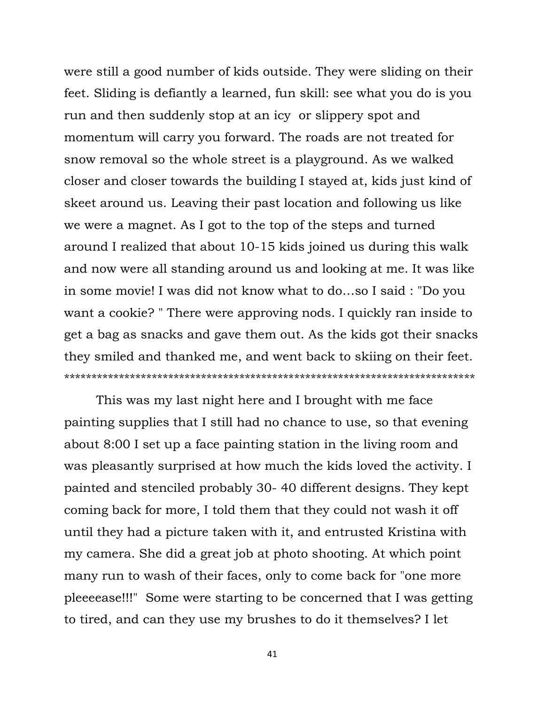were still a good number of kids outside. They were sliding on their feet. Sliding is defiantly a learned, fun skill: see what you do is you run and then suddenly stop at an icy or slippery spot and momentum will carry you forward. The roads are not treated for snow removal so the whole street is a playground. As we walked closer and closer towards the building I stayed at, kids just kind of skeet around us. Leaving their past location and following us like we were a magnet. As I got to the top of the steps and turned around I realized that about 10-15 kids joined us during this walk and now were all standing around us and looking at me. It was like in some movie! I was did not know what to do…so I said : "Do you want a cookie? " There were approving nods. I quickly ran inside to get a bag as snacks and gave them out. As the kids got their snacks they smiled and thanked me, and went back to skiing on their feet. \*\*\*\*\*\*\*\*\*\*\*\*\*\*\*\*\*\*\*\*\*\*\*\*\*\*\*\*\*\*\*\*\*\*\*\*\*\*\*\*\*\*\*\*\*\*\*\*\*\*\*\*\*\*\*\*\*\*\*\*\*\*\*\*\*\*\*\*\*\*\*\*\*\*\*

This was my last night here and I brought with me face painting supplies that I still had no chance to use, so that evening about 8:00 I set up a face painting station in the living room and was pleasantly surprised at how much the kids loved the activity. I painted and stenciled probably 30- 40 different designs. They kept coming back for more, I told them that they could not wash it off until they had a picture taken with it, and entrusted Kristina with my camera. She did a great job at photo shooting. At which point many run to wash of their faces, only to come back for "one more pleeeease!!!" Some were starting to be concerned that I was getting to tired, and can they use my brushes to do it themselves? I let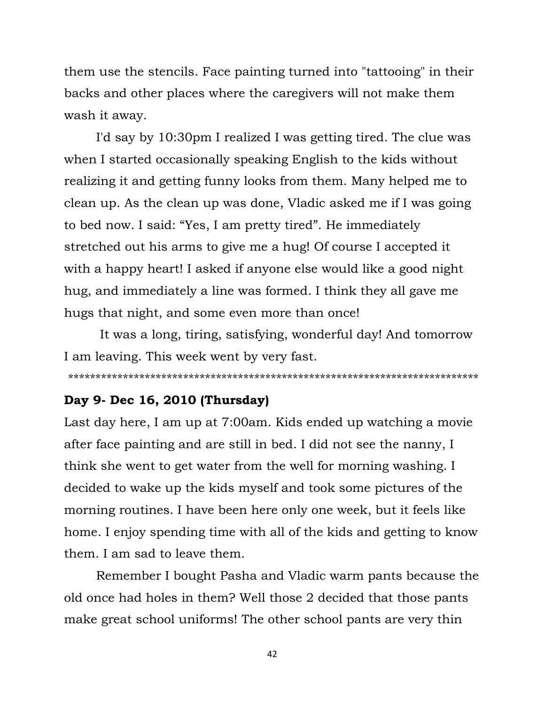them use the stencils. Face painting turned into "tattooing" in their backs and other places where the caregivers will not make them wash it away.

I'd say by 10:30pm I realized I was getting tired. The clue was when I started occasionally speaking English to the kids without realizing it and getting funny looks from them. Many helped me to clean up. As the clean up was done, Vladic asked me if I was going to bed now. I said: "Yes, I am pretty tired". He immediately stretched out his arms to give me a hug! Of course I accepted it with a happy heart! I asked if anyone else would like a good night hug, and immediately a line was formed. I think they all gave me hugs that night, and some even more than once!

It was a long, tiring, satisfying, wonderful day! And tomorrow I am leaving. This week went by very fast.

\*\*\*\*\*\*\*\*\*\*\*\*\*\*\*\*\*\*\*\*\*\*\*\*\*\*\*\*\*\*\*\*\*\*\*\*\*\*\*\*\*\*\*\*\*\*\*\*\*\*\*\*\*\*\*\*\*\*\*\*\*\*\*\*\*\*\*\*\*\*\*\*\*\*\*

# **Day 9- Dec 16, 2010 (Thursday)**

Last day here, I am up at 7:00am. Kids ended up watching a movie after face painting and are still in bed. I did not see the nanny, I think she went to get water from the well for morning washing. I decided to wake up the kids myself and took some pictures of the morning routines. I have been here only one week, but it feels like home. I enjoy spending time with all of the kids and getting to know them. I am sad to leave them.

Remember I bought Pasha and Vladic warm pants because the old once had holes in them? Well those 2 decided that those pants make great school uniforms! The other school pants are very thin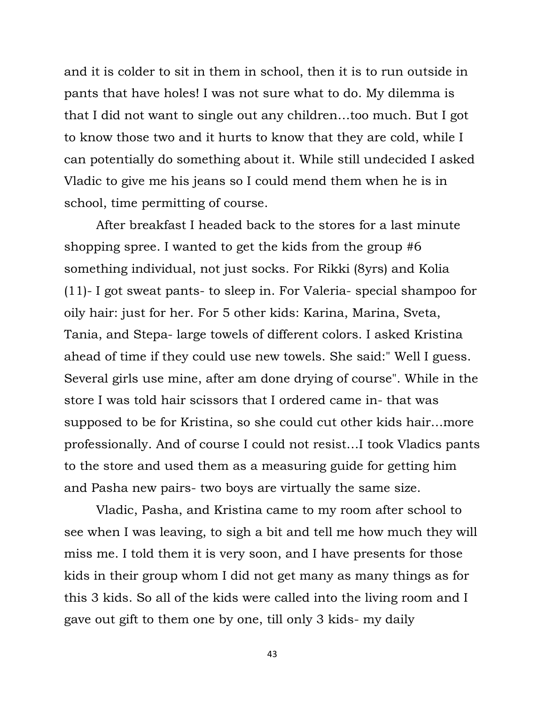and it is colder to sit in them in school, then it is to run outside in pants that have holes! I was not sure what to do. My dilemma is that I did not want to single out any children…too much. But I got to know those two and it hurts to know that they are cold, while I can potentially do something about it. While still undecided I asked Vladic to give me his jeans so I could mend them when he is in school, time permitting of course.

After breakfast I headed back to the stores for a last minute shopping spree. I wanted to get the kids from the group #6 something individual, not just socks. For Rikki (8yrs) and Kolia (11)- I got sweat pants- to sleep in. For Valeria- special shampoo for oily hair: just for her. For 5 other kids: Karina, Marina, Sveta, Tania, and Stepa- large towels of different colors. I asked Kristina ahead of time if they could use new towels. She said:" Well I guess. Several girls use mine, after am done drying of course". While in the store I was told hair scissors that I ordered came in- that was supposed to be for Kristina, so she could cut other kids hair…more professionally. And of course I could not resist…I took Vladics pants to the store and used them as a measuring guide for getting him and Pasha new pairs- two boys are virtually the same size.

Vladic, Pasha, and Kristina came to my room after school to see when I was leaving, to sigh a bit and tell me how much they will miss me. I told them it is very soon, and I have presents for those kids in their group whom I did not get many as many things as for this 3 kids. So all of the kids were called into the living room and I gave out gift to them one by one, till only 3 kids- my daily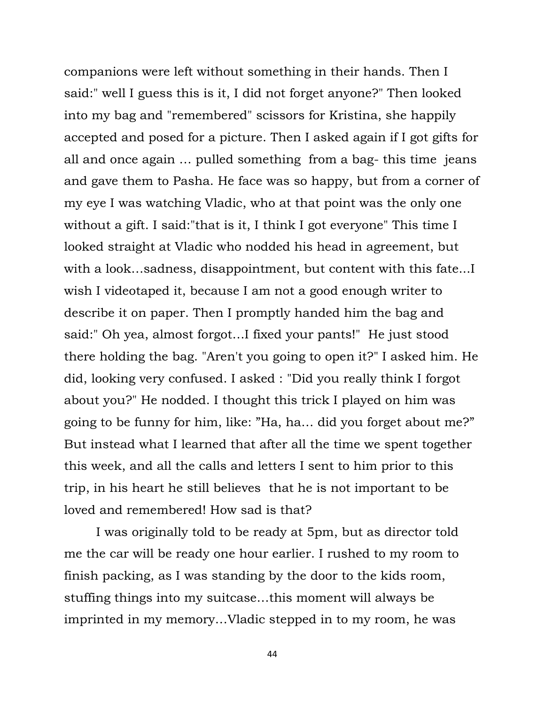companions were left without something in their hands. Then I said:" well I guess this is it, I did not forget anyone?" Then looked into my bag and "remembered" scissors for Kristina, she happily accepted and posed for a picture. Then I asked again if I got gifts for all and once again … pulled something from a bag- this time jeans and gave them to Pasha. He face was so happy, but from a corner of my eye I was watching Vladic, who at that point was the only one without a gift. I said:"that is it, I think I got everyone" This time I looked straight at Vladic who nodded his head in agreement, but with a look…sadness, disappointment, but content with this fate...I wish I videotaped it, because I am not a good enough writer to describe it on paper. Then I promptly handed him the bag and said:" Oh yea, almost forgot…I fixed your pants!" He just stood there holding the bag. "Aren't you going to open it?" I asked him. He did, looking very confused. I asked : "Did you really think I forgot about you?" He nodded. I thought this trick I played on him was going to be funny for him, like: "Ha, ha… did you forget about me?" But instead what I learned that after all the time we spent together this week, and all the calls and letters I sent to him prior to this trip, in his heart he still believes that he is not important to be loved and remembered! How sad is that?

I was originally told to be ready at 5pm, but as director told me the car will be ready one hour earlier. I rushed to my room to finish packing, as I was standing by the door to the kids room, stuffing things into my suitcase…this moment will always be imprinted in my memory…Vladic stepped in to my room, he was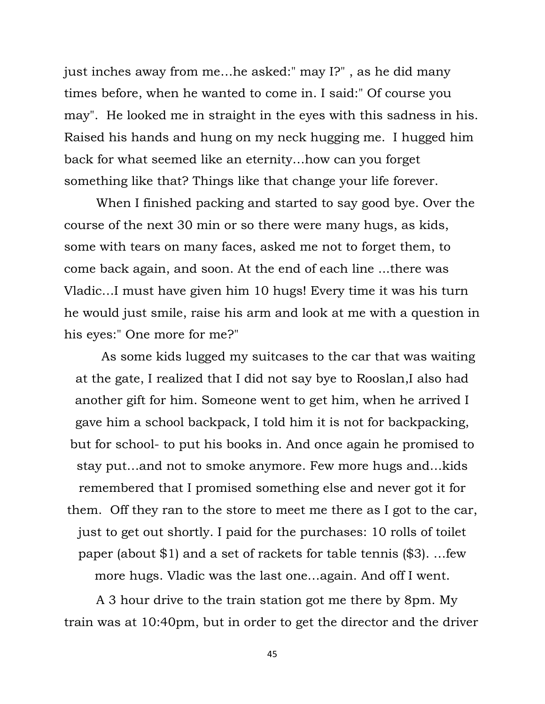just inches away from me…he asked:" may I?" , as he did many times before, when he wanted to come in. I said:" Of course you may". He looked me in straight in the eyes with this sadness in his. Raised his hands and hung on my neck hugging me. I hugged him back for what seemed like an eternity…how can you forget something like that? Things like that change your life forever.

When I finished packing and started to say good bye. Over the course of the next 30 min or so there were many hugs, as kids, some with tears on many faces, asked me not to forget them, to come back again, and soon. At the end of each line ...there was Vladic…I must have given him 10 hugs! Every time it was his turn he would just smile, raise his arm and look at me with a question in his eyes:" One more for me?"

As some kids lugged my suitcases to the car that was waiting at the gate, I realized that I did not say bye to Rooslan,I also had another gift for him. Someone went to get him, when he arrived I gave him a school backpack, I told him it is not for backpacking, but for school- to put his books in. And once again he promised to stay put…and not to smoke anymore. Few more hugs and…kids remembered that I promised something else and never got it for them. Off they ran to the store to meet me there as I got to the car, just to get out shortly. I paid for the purchases: 10 rolls of toilet paper (about \$1) and a set of rackets for table tennis (\$3). …few more hugs. Vladic was the last one…again. And off I went.

A 3 hour drive to the train station got me there by 8pm. My train was at 10:40pm, but in order to get the director and the driver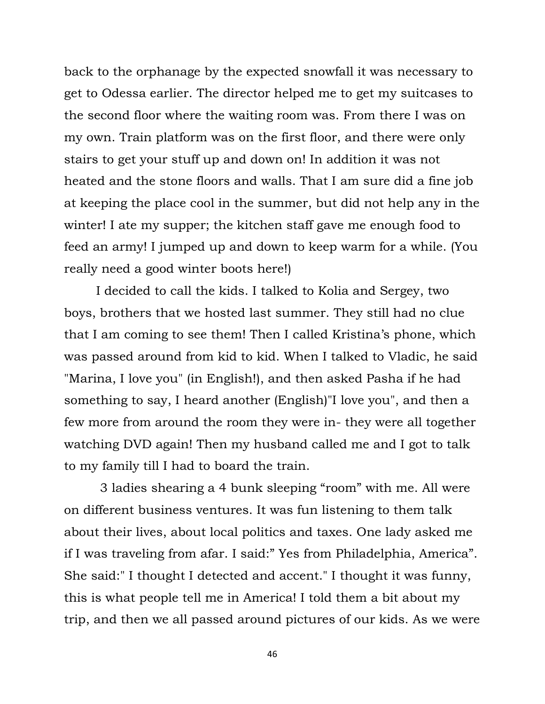back to the orphanage by the expected snowfall it was necessary to get to Odessa earlier. The director helped me to get my suitcases to the second floor where the waiting room was. From there I was on my own. Train platform was on the first floor, and there were only stairs to get your stuff up and down on! In addition it was not heated and the stone floors and walls. That I am sure did a fine job at keeping the place cool in the summer, but did not help any in the winter! I ate my supper; the kitchen staff gave me enough food to feed an army! I jumped up and down to keep warm for a while. (You really need a good winter boots here!)

I decided to call the kids. I talked to Kolia and Sergey, two boys, brothers that we hosted last summer. They still had no clue that I am coming to see them! Then I called Kristina's phone, which was passed around from kid to kid. When I talked to Vladic, he said "Marina, I love you" (in English!), and then asked Pasha if he had something to say, I heard another (English)"I love you", and then a few more from around the room they were in- they were all together watching DVD again! Then my husband called me and I got to talk to my family till I had to board the train.

3 ladies shearing a 4 bunk sleeping "room" with me. All were on different business ventures. It was fun listening to them talk about their lives, about local politics and taxes. One lady asked me if I was traveling from afar. I said:" Yes from Philadelphia, America". She said:" I thought I detected and accent." I thought it was funny, this is what people tell me in America! I told them a bit about my trip, and then we all passed around pictures of our kids. As we were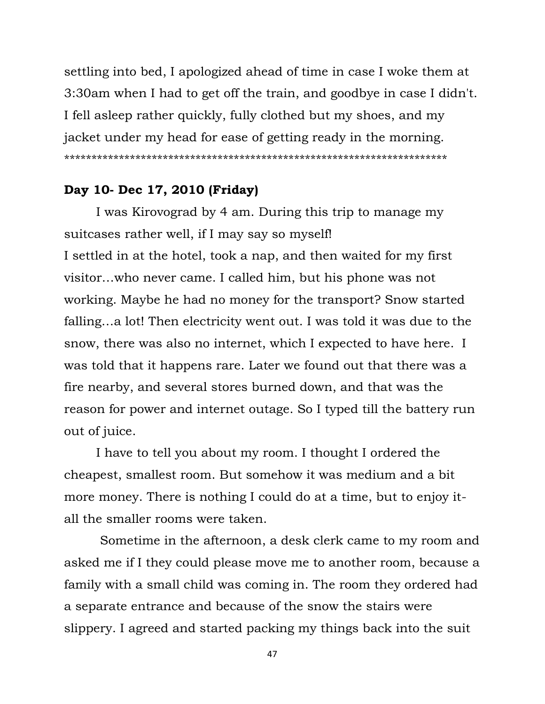settling into bed, I apologized ahead of time in case I woke them at 3:30am when I had to get off the train, and goodbye in case I didn't. I fell asleep rather quickly, fully clothed but my shoes, and my jacket under my head for ease of getting ready in the morning. \*\*\*\*\*\*\*\*\*\*\*\*\*\*\*\*\*\*\*\*\*\*\*\*\*\*\*\*\*\*\*\*\*\*\*\*\*\*\*\*\*\*\*\*\*\*\*\*\*\*\*\*\*\*\*\*\*\*\*\*\*\*\*\*\*\*\*\*\*\*

# **Day 10- Dec 17, 2010 (Friday)**

I was Kirovograd by 4 am. During this trip to manage my suitcases rather well, if I may say so myself! I settled in at the hotel, took a nap, and then waited for my first visitor…who never came. I called him, but his phone was not working. Maybe he had no money for the transport? Snow started falling…a lot! Then electricity went out. I was told it was due to the snow, there was also no internet, which I expected to have here. I was told that it happens rare. Later we found out that there was a fire nearby, and several stores burned down, and that was the reason for power and internet outage. So I typed till the battery run out of juice.

I have to tell you about my room. I thought I ordered the cheapest, smallest room. But somehow it was medium and a bit more money. There is nothing I could do at a time, but to enjoy itall the smaller rooms were taken.

Sometime in the afternoon, a desk clerk came to my room and asked me if I they could please move me to another room, because a family with a small child was coming in. The room they ordered had a separate entrance and because of the snow the stairs were slippery. I agreed and started packing my things back into the suit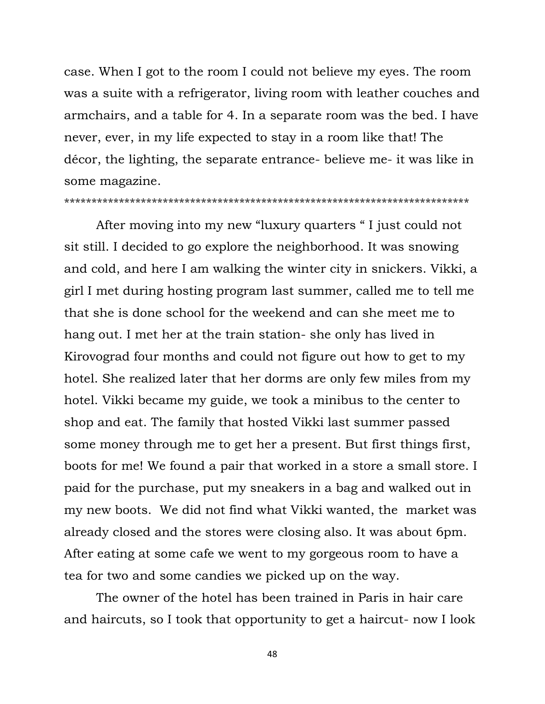case. When I got to the room I could not believe my eyes. The room was a suite with a refrigerator, living room with leather couches and armchairs, and a table for 4. In a separate room was the bed. I have never, ever, in my life expected to stay in a room like that! The décor, the lighting, the separate entrance- believe me- it was like in some magazine.

#### \*\*\*\*\*\*\*\*\*\*\*\*\*\*\*\*\*\*\*\*\*\*\*\*\*\*\*\*\*\*\*\*\*\*\*\*\*\*\*\*\*\*\*\*\*\*\*\*\*\*\*\*\*\*\*\*\*\*\*\*\*\*\*\*\*\*\*\*\*\*\*\*\*\*

After moving into my new "luxury quarters " I just could not sit still. I decided to go explore the neighborhood. It was snowing and cold, and here I am walking the winter city in snickers. Vikki, a girl I met during hosting program last summer, called me to tell me that she is done school for the weekend and can she meet me to hang out. I met her at the train station- she only has lived in Kirovograd four months and could not figure out how to get to my hotel. She realized later that her dorms are only few miles from my hotel. Vikki became my guide, we took a minibus to the center to shop and eat. The family that hosted Vikki last summer passed some money through me to get her a present. But first things first, boots for me! We found a pair that worked in a store a small store. I paid for the purchase, put my sneakers in a bag and walked out in my new boots. We did not find what Vikki wanted, the market was already closed and the stores were closing also. It was about 6pm. After eating at some cafe we went to my gorgeous room to have a tea for two and some candies we picked up on the way.

The owner of the hotel has been trained in Paris in hair care and haircuts, so I took that opportunity to get a haircut- now I look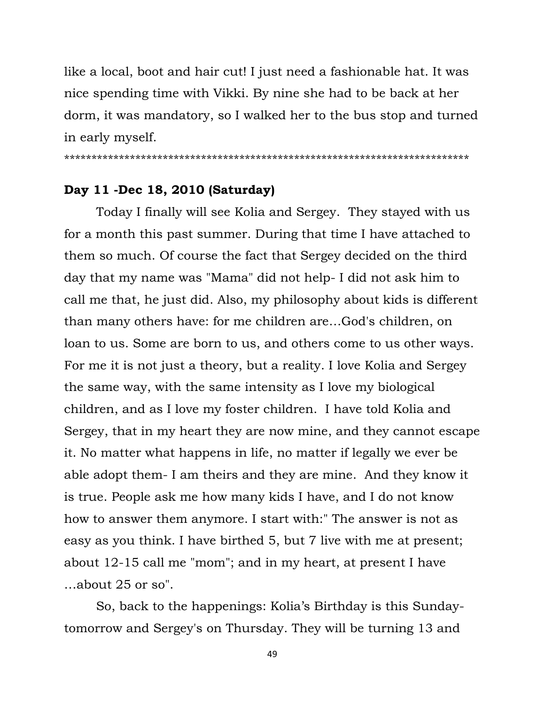like a local, boot and hair cut! I just need a fashionable hat. It was nice spending time with Vikki. By nine she had to be back at her dorm, it was mandatory, so I walked her to the bus stop and turned in early myself.

\*\*\*\*\*\*\*\*\*\*\*\*\*\*\*\*\*\*\*\*\*\*\*\*\*\*\*\*\*\*\*\*\*\*\*\*\*\*\*\*\*\*\*\*\*\*\*\*\*\*\*\*\*\*\*\*\*\*\*\*\*\*\*\*\*\*\*\*\*\*\*\*\*\*

# **Day 11 -Dec 18, 2010 (Saturday)**

Today I finally will see Kolia and Sergey. They stayed with us for a month this past summer. During that time I have attached to them so much. Of course the fact that Sergey decided on the third day that my name was "Mama" did not help- I did not ask him to call me that, he just did. Also, my philosophy about kids is different than many others have: for me children are…God's children, on loan to us. Some are born to us, and others come to us other ways. For me it is not just a theory, but a reality. I love Kolia and Sergey the same way, with the same intensity as I love my biological children, and as I love my foster children. I have told Kolia and Sergey, that in my heart they are now mine, and they cannot escape it. No matter what happens in life, no matter if legally we ever be able adopt them- I am theirs and they are mine. And they know it is true. People ask me how many kids I have, and I do not know how to answer them anymore. I start with:" The answer is not as easy as you think. I have birthed 5, but 7 live with me at present; about 12-15 call me "mom"; and in my heart, at present I have …about 25 or so".

So, back to the happenings: Kolia"s Birthday is this Sundaytomorrow and Sergey's on Thursday. They will be turning 13 and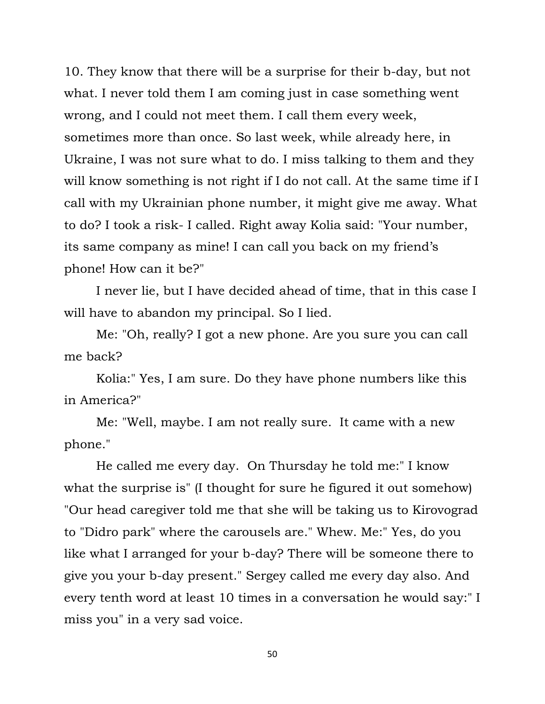10. They know that there will be a surprise for their b-day, but not what. I never told them I am coming just in case something went wrong, and I could not meet them. I call them every week, sometimes more than once. So last week, while already here, in Ukraine, I was not sure what to do. I miss talking to them and they will know something is not right if I do not call. At the same time if I call with my Ukrainian phone number, it might give me away. What to do? I took a risk- I called. Right away Kolia said: "Your number, its same company as mine! I can call you back on my friend"s phone! How can it be?"

I never lie, but I have decided ahead of time, that in this case I will have to abandon my principal. So I lied.

Me: "Oh, really? I got a new phone. Are you sure you can call me back?

Kolia:" Yes, I am sure. Do they have phone numbers like this in America?"

Me: "Well, maybe. I am not really sure. It came with a new phone."

He called me every day. On Thursday he told me:" I know what the surprise is" (I thought for sure he figured it out somehow) "Our head caregiver told me that she will be taking us to Kirovograd to "Didro park" where the carousels are." Whew. Me:" Yes, do you like what I arranged for your b-day? There will be someone there to give you your b-day present." Sergey called me every day also. And every tenth word at least 10 times in a conversation he would say:" I miss you" in a very sad voice.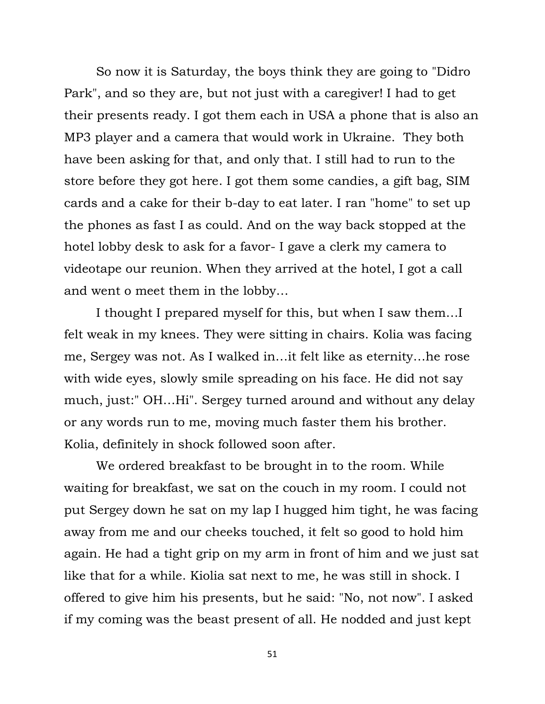So now it is Saturday, the boys think they are going to "Didro Park", and so they are, but not just with a caregiver! I had to get their presents ready. I got them each in USA a phone that is also an MP3 player and a camera that would work in Ukraine. They both have been asking for that, and only that. I still had to run to the store before they got here. I got them some candies, a gift bag, SIM cards and a cake for their b-day to eat later. I ran "home" to set up the phones as fast I as could. And on the way back stopped at the hotel lobby desk to ask for a favor- I gave a clerk my camera to videotape our reunion. When they arrived at the hotel, I got a call and went o meet them in the lobby…

I thought I prepared myself for this, but when I saw them…I felt weak in my knees. They were sitting in chairs. Kolia was facing me, Sergey was not. As I walked in…it felt like as eternity…he rose with wide eyes, slowly smile spreading on his face. He did not say much, just:" OH…Hi". Sergey turned around and without any delay or any words run to me, moving much faster them his brother. Kolia, definitely in shock followed soon after.

We ordered breakfast to be brought in to the room. While waiting for breakfast, we sat on the couch in my room. I could not put Sergey down he sat on my lap I hugged him tight, he was facing away from me and our cheeks touched, it felt so good to hold him again. He had a tight grip on my arm in front of him and we just sat like that for a while. Kiolia sat next to me, he was still in shock. I offered to give him his presents, but he said: "No, not now". I asked if my coming was the beast present of all. He nodded and just kept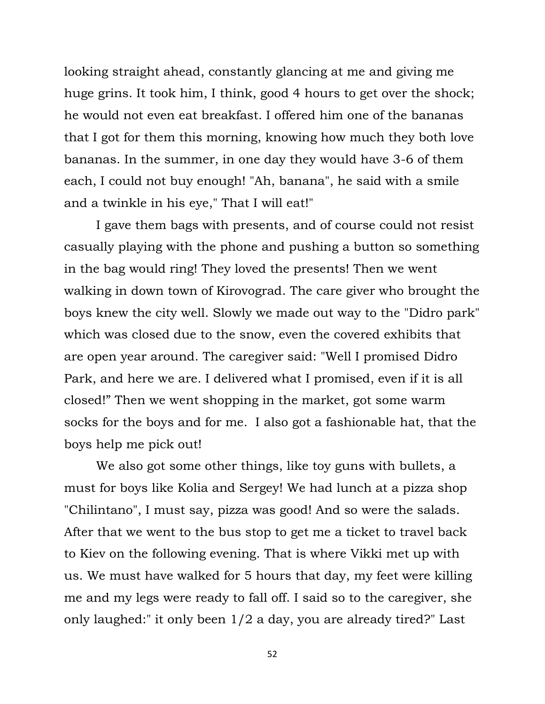looking straight ahead, constantly glancing at me and giving me huge grins. It took him, I think, good 4 hours to get over the shock; he would not even eat breakfast. I offered him one of the bananas that I got for them this morning, knowing how much they both love bananas. In the summer, in one day they would have 3-6 of them each, I could not buy enough! "Ah, banana", he said with a smile and a twinkle in his eye," That I will eat!"

I gave them bags with presents, and of course could not resist casually playing with the phone and pushing a button so something in the bag would ring! They loved the presents! Then we went walking in down town of Kirovograd. The care giver who brought the boys knew the city well. Slowly we made out way to the "Didro park" which was closed due to the snow, even the covered exhibits that are open year around. The caregiver said: "Well I promised Didro Park, and here we are. I delivered what I promised, even if it is all closed!" Then we went shopping in the market, got some warm socks for the boys and for me. I also got a fashionable hat, that the boys help me pick out!

We also got some other things, like toy guns with bullets, a must for boys like Kolia and Sergey! We had lunch at a pizza shop "Chilintano", I must say, pizza was good! And so were the salads. After that we went to the bus stop to get me a ticket to travel back to Kiev on the following evening. That is where Vikki met up with us. We must have walked for 5 hours that day, my feet were killing me and my legs were ready to fall off. I said so to the caregiver, she only laughed:" it only been 1/2 a day, you are already tired?" Last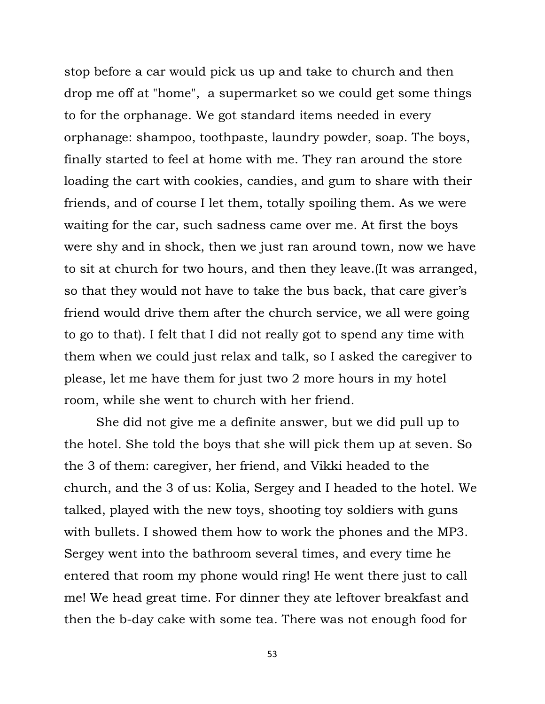stop before a car would pick us up and take to church and then drop me off at "home", a supermarket so we could get some things to for the orphanage. We got standard items needed in every orphanage: shampoo, toothpaste, laundry powder, soap. The boys, finally started to feel at home with me. They ran around the store loading the cart with cookies, candies, and gum to share with their friends, and of course I let them, totally spoiling them. As we were waiting for the car, such sadness came over me. At first the boys were shy and in shock, then we just ran around town, now we have to sit at church for two hours, and then they leave.(It was arranged, so that they would not have to take the bus back, that care giver's friend would drive them after the church service, we all were going to go to that). I felt that I did not really got to spend any time with them when we could just relax and talk, so I asked the caregiver to please, let me have them for just two 2 more hours in my hotel room, while she went to church with her friend.

She did not give me a definite answer, but we did pull up to the hotel. She told the boys that she will pick them up at seven. So the 3 of them: caregiver, her friend, and Vikki headed to the church, and the 3 of us: Kolia, Sergey and I headed to the hotel. We talked, played with the new toys, shooting toy soldiers with guns with bullets. I showed them how to work the phones and the MP3. Sergey went into the bathroom several times, and every time he entered that room my phone would ring! He went there just to call me! We head great time. For dinner they ate leftover breakfast and then the b-day cake with some tea. There was not enough food for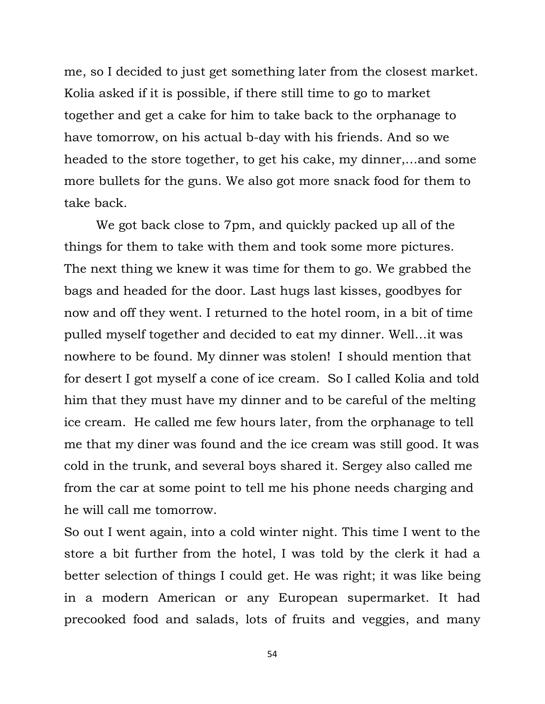me, so I decided to just get something later from the closest market. Kolia asked if it is possible, if there still time to go to market together and get a cake for him to take back to the orphanage to have tomorrow, on his actual b-day with his friends. And so we headed to the store together, to get his cake, my dinner,…and some more bullets for the guns. We also got more snack food for them to take back.

We got back close to 7pm, and quickly packed up all of the things for them to take with them and took some more pictures. The next thing we knew it was time for them to go. We grabbed the bags and headed for the door. Last hugs last kisses, goodbyes for now and off they went. I returned to the hotel room, in a bit of time pulled myself together and decided to eat my dinner. Well…it was nowhere to be found. My dinner was stolen! I should mention that for desert I got myself a cone of ice cream. So I called Kolia and told him that they must have my dinner and to be careful of the melting ice cream. He called me few hours later, from the orphanage to tell me that my diner was found and the ice cream was still good. It was cold in the trunk, and several boys shared it. Sergey also called me from the car at some point to tell me his phone needs charging and he will call me tomorrow.

So out I went again, into a cold winter night. This time I went to the store a bit further from the hotel, I was told by the clerk it had a better selection of things I could get. He was right; it was like being in a modern American or any European supermarket. It had precooked food and salads, lots of fruits and veggies, and many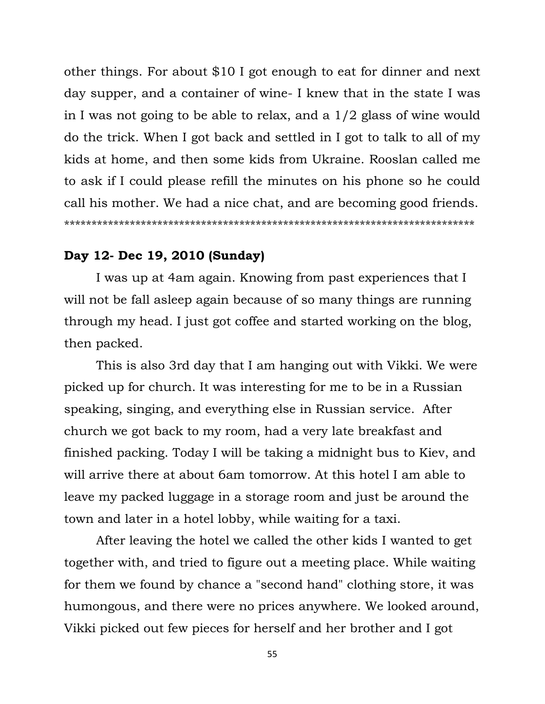other things. For about \$10 I got enough to eat for dinner and next day supper, and a container of wine- I knew that in the state I was in I was not going to be able to relax, and a 1/2 glass of wine would do the trick. When I got back and settled in I got to talk to all of my kids at home, and then some kids from Ukraine. Rooslan called me to ask if I could please refill the minutes on his phone so he could call his mother. We had a nice chat, and are becoming good friends. \*\*\*\*\*\*\*\*\*\*\*\*\*\*\*\*\*\*\*\*\*\*\*\*\*\*\*\*\*\*\*\*\*\*\*\*\*\*\*\*\*\*\*\*\*\*\*\*\*\*\*\*\*\*\*\*\*\*\*\*\*\*\*\*\*\*\*\*\*\*\*\*\*\*\*

### **Day 12- Dec 19, 2010 (Sunday)**

I was up at 4am again. Knowing from past experiences that I will not be fall asleep again because of so many things are running through my head. I just got coffee and started working on the blog, then packed.

This is also 3rd day that I am hanging out with Vikki. We were picked up for church. It was interesting for me to be in a Russian speaking, singing, and everything else in Russian service. After church we got back to my room, had a very late breakfast and finished packing. Today I will be taking a midnight bus to Kiev, and will arrive there at about 6am tomorrow. At this hotel I am able to leave my packed luggage in a storage room and just be around the town and later in a hotel lobby, while waiting for a taxi.

After leaving the hotel we called the other kids I wanted to get together with, and tried to figure out a meeting place. While waiting for them we found by chance a "second hand" clothing store, it was humongous, and there were no prices anywhere. We looked around, Vikki picked out few pieces for herself and her brother and I got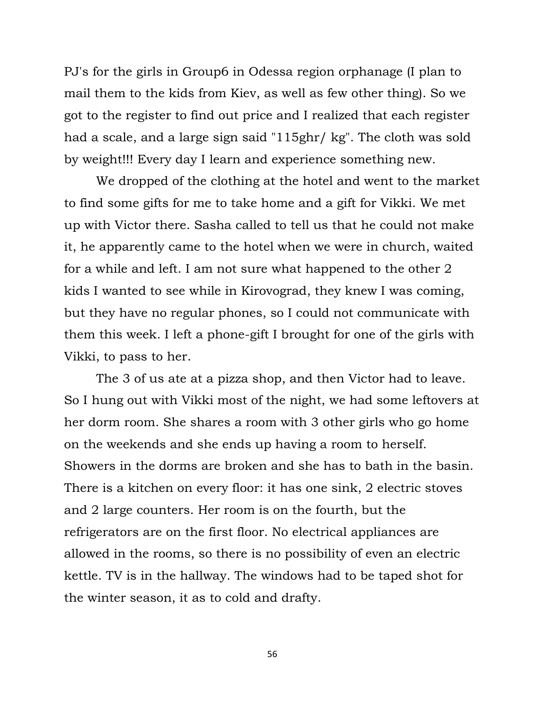PJ's for the girls in Group6 in Odessa region orphanage (I plan to mail them to the kids from Kiev, as well as few other thing). So we got to the register to find out price and I realized that each register had a scale, and a large sign said "115ghr/ kg". The cloth was sold by weight!!! Every day I learn and experience something new.

We dropped of the clothing at the hotel and went to the market to find some gifts for me to take home and a gift for Vikki. We met up with Victor there. Sasha called to tell us that he could not make it, he apparently came to the hotel when we were in church, waited for a while and left. I am not sure what happened to the other 2 kids I wanted to see while in Kirovograd, they knew I was coming, but they have no regular phones, so I could not communicate with them this week. I left a phone-gift I brought for one of the girls with Vikki, to pass to her.

The 3 of us ate at a pizza shop, and then Victor had to leave. So I hung out with Vikki most of the night, we had some leftovers at her dorm room. She shares a room with 3 other girls who go home on the weekends and she ends up having a room to herself. Showers in the dorms are broken and she has to bath in the basin. There is a kitchen on every floor: it has one sink, 2 electric stoves and 2 large counters. Her room is on the fourth, but the refrigerators are on the first floor. No electrical appliances are allowed in the rooms, so there is no possibility of even an electric kettle. TV is in the hallway. The windows had to be taped shot for the winter season, it as to cold and drafty.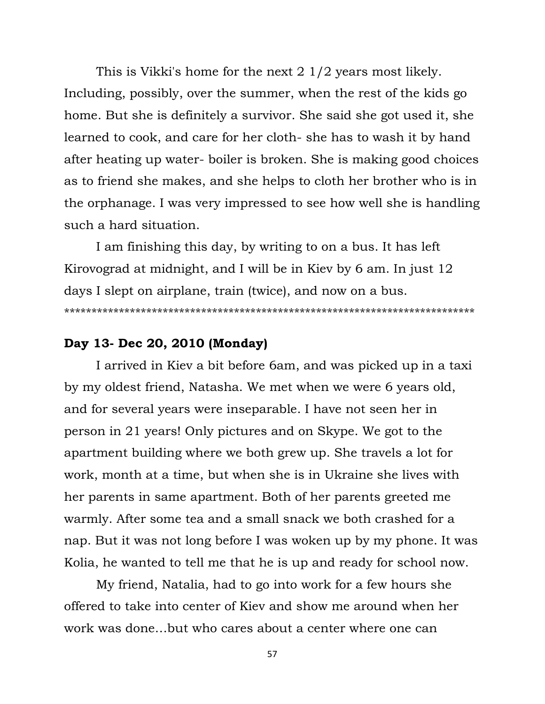This is Vikki's home for the next 2 1/2 years most likely. Including, possibly, over the summer, when the rest of the kids go home. But she is definitely a survivor. She said she got used it, she learned to cook, and care for her cloth- she has to wash it by hand after heating up water- boiler is broken. She is making good choices as to friend she makes, and she helps to cloth her brother who is in the orphanage. I was very impressed to see how well she is handling such a hard situation.

I am finishing this day, by writing to on a bus. It has left Kirovograd at midnight, and I will be in Kiev by 6 am. In just 12 days I slept on airplane, train (twice), and now on a bus. \*\*\*\*\*\*\*\*\*\*\*\*\*\*\*\*\*\*\*\*\*\*\*\*\*\*\*\*\*\*\*\*\*\*\*\*\*\*\*\*\*\*\*\*\*\*\*\*\*\*\*\*\*\*\*\*\*\*\*\*\*\*\*\*\*\*\*\*\*\*\*\*\*\*\*

# **Day 13- Dec 20, 2010 (Monday)**

I arrived in Kiev a bit before 6am, and was picked up in a taxi by my oldest friend, Natasha. We met when we were 6 years old, and for several years were inseparable. I have not seen her in person in 21 years! Only pictures and on Skype. We got to the apartment building where we both grew up. She travels a lot for work, month at a time, but when she is in Ukraine she lives with her parents in same apartment. Both of her parents greeted me warmly. After some tea and a small snack we both crashed for a nap. But it was not long before I was woken up by my phone. It was Kolia, he wanted to tell me that he is up and ready for school now.

My friend, Natalia, had to go into work for a few hours she offered to take into center of Kiev and show me around when her work was done…but who cares about a center where one can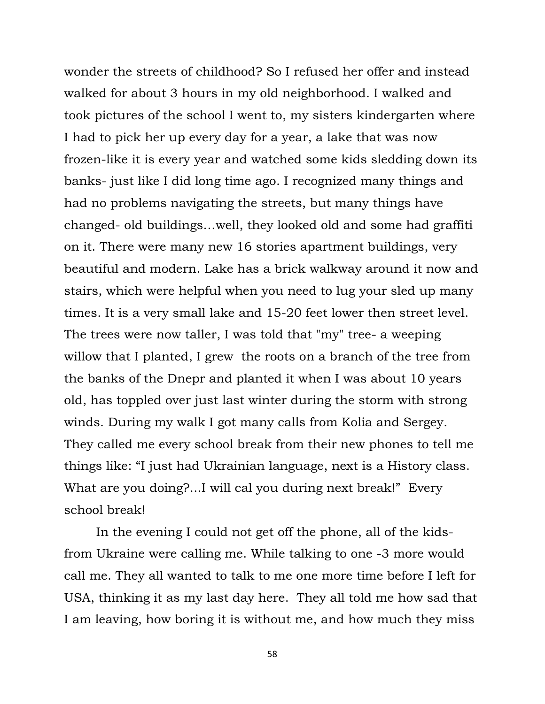wonder the streets of childhood? So I refused her offer and instead walked for about 3 hours in my old neighborhood. I walked and took pictures of the school I went to, my sisters kindergarten where I had to pick her up every day for a year, a lake that was now frozen-like it is every year and watched some kids sledding down its banks- just like I did long time ago. I recognized many things and had no problems navigating the streets, but many things have changed- old buildings…well, they looked old and some had graffiti on it. There were many new 16 stories apartment buildings, very beautiful and modern. Lake has a brick walkway around it now and stairs, which were helpful when you need to lug your sled up many times. It is a very small lake and 15-20 feet lower then street level. The trees were now taller, I was told that "my" tree- a weeping willow that I planted, I grew the roots on a branch of the tree from the banks of the Dnepr and planted it when I was about 10 years old, has toppled over just last winter during the storm with strong winds. During my walk I got many calls from Kolia and Sergey. They called me every school break from their new phones to tell me things like: "I just had Ukrainian language, next is a History class. What are you doing?...I will cal you during next break!" Every school break!

In the evening I could not get off the phone, all of the kidsfrom Ukraine were calling me. While talking to one -3 more would call me. They all wanted to talk to me one more time before I left for USA, thinking it as my last day here. They all told me how sad that I am leaving, how boring it is without me, and how much they miss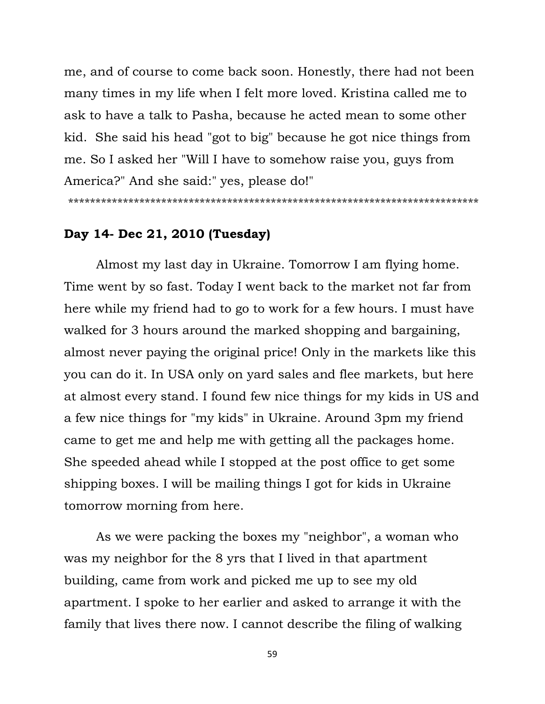me, and of course to come back soon. Honestly, there had not been many times in my life when I felt more loved. Kristina called me to ask to have a talk to Pasha, because he acted mean to some other kid. She said his head "got to big" because he got nice things from me. So I asked her "Will I have to somehow raise you, guys from America?" And she said:" yes, please do!"

\*\*\*\*\*\*\*\*\*\*\*\*\*\*\*\*\*\*\*\*\*\*\*\*\*\*\*\*\*\*\*\*\*\*\*\*\*\*\*\*\*\*\*\*\*\*\*\*\*\*\*\*\*\*\*\*\*\*\*\*\*\*\*\*\*\*\*\*\*\*\*\*\*\*\*

# **Day 14- Dec 21, 2010 (Tuesday)**

Almost my last day in Ukraine. Tomorrow I am flying home. Time went by so fast. Today I went back to the market not far from here while my friend had to go to work for a few hours. I must have walked for 3 hours around the marked shopping and bargaining, almost never paying the original price! Only in the markets like this you can do it. In USA only on yard sales and flee markets, but here at almost every stand. I found few nice things for my kids in US and a few nice things for "my kids" in Ukraine. Around 3pm my friend came to get me and help me with getting all the packages home. She speeded ahead while I stopped at the post office to get some shipping boxes. I will be mailing things I got for kids in Ukraine tomorrow morning from here.

As we were packing the boxes my "neighbor", a woman who was my neighbor for the 8 yrs that I lived in that apartment building, came from work and picked me up to see my old apartment. I spoke to her earlier and asked to arrange it with the family that lives there now. I cannot describe the filing of walking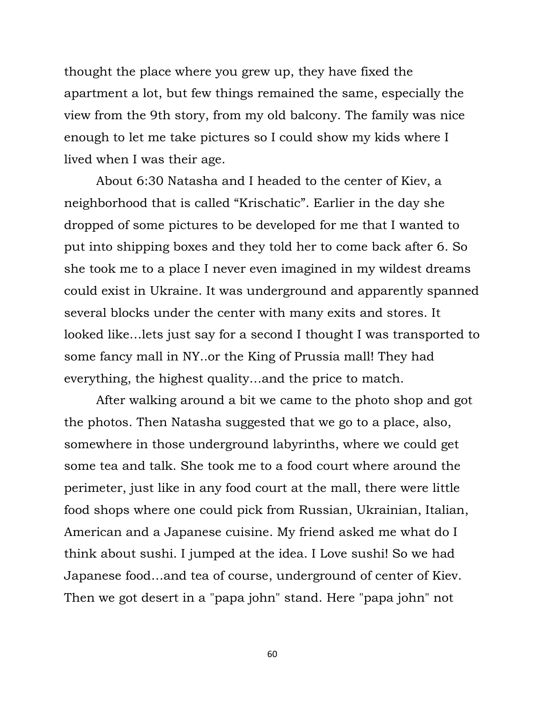thought the place where you grew up, they have fixed the apartment a lot, but few things remained the same, especially the view from the 9th story, from my old balcony. The family was nice enough to let me take pictures so I could show my kids where I lived when I was their age.

About 6:30 Natasha and I headed to the center of Kiev, a neighborhood that is called "Krischatic". Earlier in the day she dropped of some pictures to be developed for me that I wanted to put into shipping boxes and they told her to come back after 6. So she took me to a place I never even imagined in my wildest dreams could exist in Ukraine. It was underground and apparently spanned several blocks under the center with many exits and stores. It looked like…lets just say for a second I thought I was transported to some fancy mall in NY..or the King of Prussia mall! They had everything, the highest quality…and the price to match.

After walking around a bit we came to the photo shop and got the photos. Then Natasha suggested that we go to a place, also, somewhere in those underground labyrinths, where we could get some tea and talk. She took me to a food court where around the perimeter, just like in any food court at the mall, there were little food shops where one could pick from Russian, Ukrainian, Italian, American and a Japanese cuisine. My friend asked me what do I think about sushi. I jumped at the idea. I Love sushi! So we had Japanese food…and tea of course, underground of center of Kiev. Then we got desert in a "papa john" stand. Here "papa john" not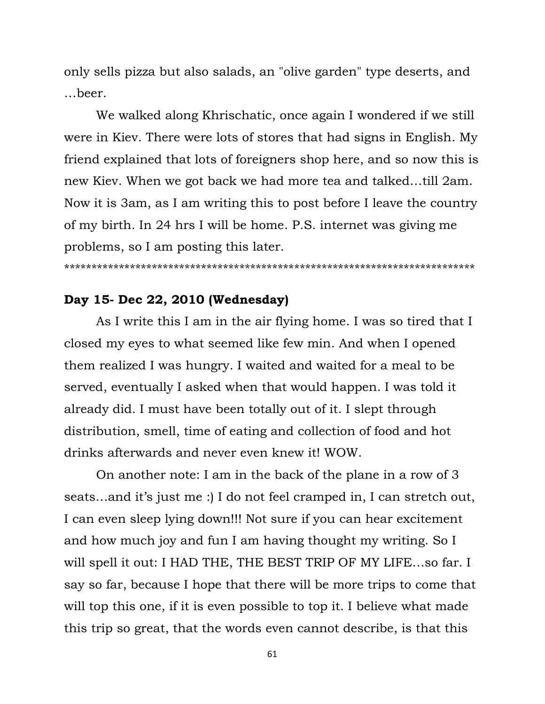only sells pizza but also salads, an "olive garden" type deserts, and …beer.

We walked along Khrischatic, once again I wondered if we still were in Kiev. There were lots of stores that had signs in English. My friend explained that lots of foreigners shop here, and so now this is new Kiev. When we got back we had more tea and talked…till 2am. Now it is 3am, as I am writing this to post before I leave the country of my birth. In 24 hrs I will be home. P.S. internet was giving me problems, so I am posting this later.

\*\*\*\*\*\*\*\*\*\*\*\*\*\*\*\*\*\*\*\*\*\*\*\*\*\*\*\*\*\*\*\*\*\*\*\*\*\*\*\*\*\*\*\*\*\*\*\*\*\*\*\*\*\*\*\*\*\*\*\*\*\*\*\*\*\*\*\*\*\*\*\*\*\*\*

# **Day 15- Dec 22, 2010 (Wednesday)**

As I write this I am in the air flying home. I was so tired that I closed my eyes to what seemed like few min. And when I opened them realized I was hungry. I waited and waited for a meal to be served, eventually I asked when that would happen. I was told it already did. I must have been totally out of it. I slept through distribution, smell, time of eating and collection of food and hot drinks afterwards and never even knew it! WOW.

On another note: I am in the back of the plane in a row of 3 seats...and it's just me :) I do not feel cramped in, I can stretch out, I can even sleep lying down!!! Not sure if you can hear excitement and how much joy and fun I am having thought my writing. So I will spell it out: I HAD THE, THE BEST TRIP OF MY LIFE…so far. I say so far, because I hope that there will be more trips to come that will top this one, if it is even possible to top it. I believe what made this trip so great, that the words even cannot describe, is that this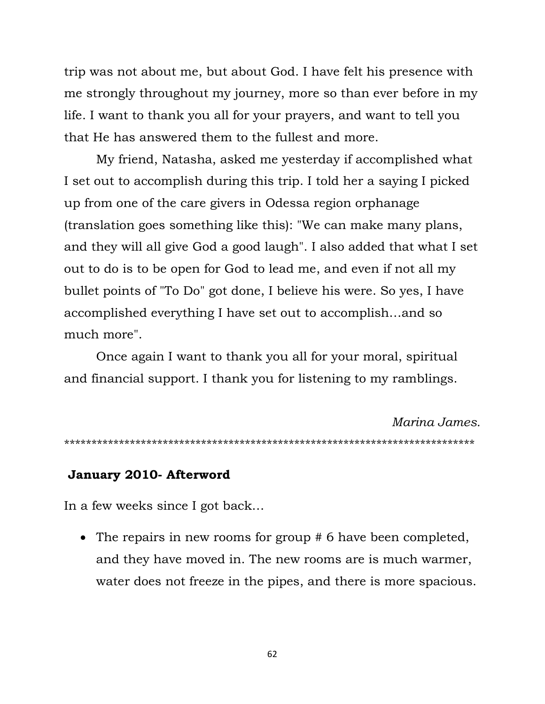trip was not about me, but about God. I have felt his presence with me strongly throughout my journey, more so than ever before in my life. I want to thank you all for your prayers, and want to tell you that He has answered them to the fullest and more.

My friend, Natasha, asked me yesterday if accomplished what I set out to accomplish during this trip. I told her a saying I picked up from one of the care givers in Odessa region orphanage (translation goes something like this): "We can make many plans, and they will all give God a good laugh". I also added that what I set out to do is to be open for God to lead me, and even if not all my bullet points of "To Do" got done, I believe his were. So yes, I have accomplished everything I have set out to accomplish…and so much more".

Once again I want to thank you all for your moral, spiritual and financial support. I thank you for listening to my ramblings.

*Marina James.* \*\*\*\*\*\*\*\*\*\*\*\*\*\*\*\*\*\*\*\*\*\*\*\*\*\*\*\*\*\*\*\*\*\*\*\*\*\*\*\*\*\*\*\*\*\*\*\*\*\*\*\*\*\*\*\*\*\*\*\*\*\*\*\*\*\*\*\*\*\*\*\*\*\*\*

### **January 2010- Afterword**

In a few weeks since I got back…

• The repairs in new rooms for group # 6 have been completed, and they have moved in. The new rooms are is much warmer, water does not freeze in the pipes, and there is more spacious.